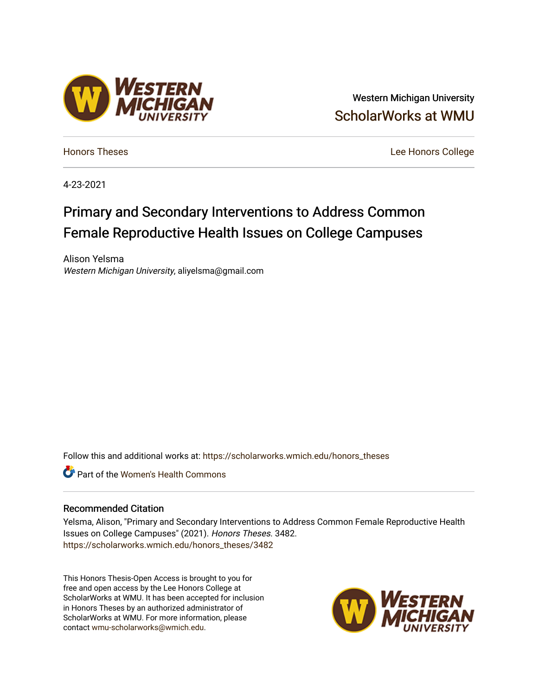# Western Michigan University [ScholarWorks at WMU](https://scholarworks.wmich.edu/)

[Honors Theses](https://scholarworks.wmich.edu/honors_theses) [Lee Honors College](https://scholarworks.wmich.edu/honors) 

4-23-2021

# Primary and Secondary Interventions to Address Common Female Reproductive Health Issues on College Campuses

Alison Yelsma Western Michigan University, aliyelsma@gmail.com

Follow this and additional works at: [https://scholarworks.wmich.edu/honors\\_theses](https://scholarworks.wmich.edu/honors_theses?utm_source=scholarworks.wmich.edu%2Fhonors_theses%2F3482&utm_medium=PDF&utm_campaign=PDFCoverPages)

Part of the [Women's Health Commons](http://network.bepress.com/hgg/discipline/1241?utm_source=scholarworks.wmich.edu%2Fhonors_theses%2F3482&utm_medium=PDF&utm_campaign=PDFCoverPages)

#### Recommended Citation

Yelsma, Alison, "Primary and Secondary Interventions to Address Common Female Reproductive Health Issues on College Campuses" (2021). Honors Theses. 3482. [https://scholarworks.wmich.edu/honors\\_theses/3482](https://scholarworks.wmich.edu/honors_theses/3482?utm_source=scholarworks.wmich.edu%2Fhonors_theses%2F3482&utm_medium=PDF&utm_campaign=PDFCoverPages) 

This Honors Thesis-Open Access is brought to you for free and open access by the Lee Honors College at ScholarWorks at WMU. It has been accepted for inclusion in Honors Theses by an authorized administrator of ScholarWorks at WMU. For more information, please contact [wmu-scholarworks@wmich.edu](mailto:wmu-scholarworks@wmich.edu).



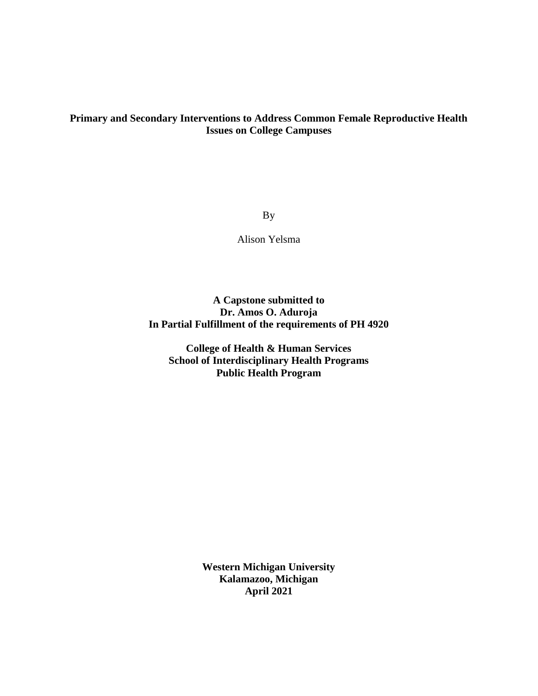### **Primary and Secondary Interventions to Address Common Female Reproductive Health Issues on College Campuses**

By

Alison Yelsma

**A Capstone submitted to Dr. Amos O. Aduroja In Partial Fulfillment of the requirements of PH 4920**

**College of Health & Human Services School of Interdisciplinary Health Programs Public Health Program**

> **Western Michigan University Kalamazoo, Michigan April 2021**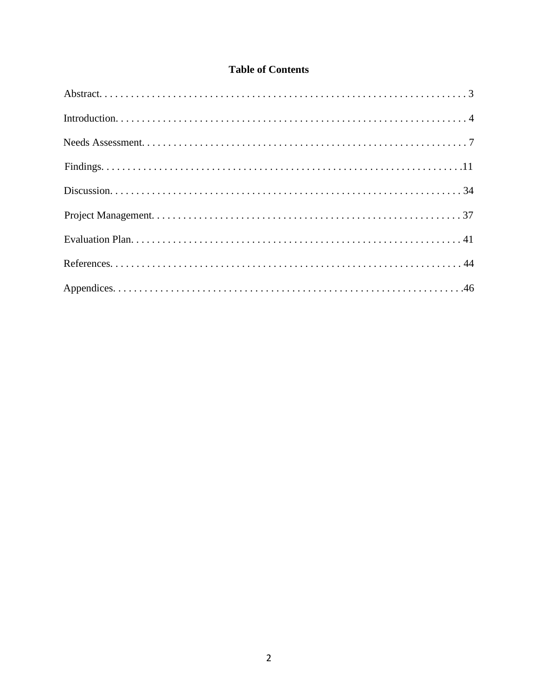### **Table of Contents**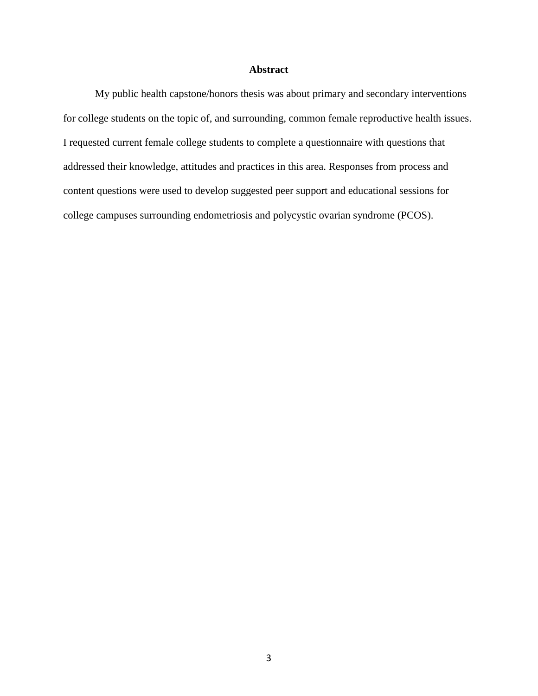### **Abstract**

My public health capstone/honors thesis was about primary and secondary interventions for college students on the topic of, and surrounding, common female reproductive health issues. I requested current female college students to complete a questionnaire with questions that addressed their knowledge, attitudes and practices in this area. Responses from process and content questions were used to develop suggested peer support and educational sessions for college campuses surrounding endometriosis and polycystic ovarian syndrome (PCOS).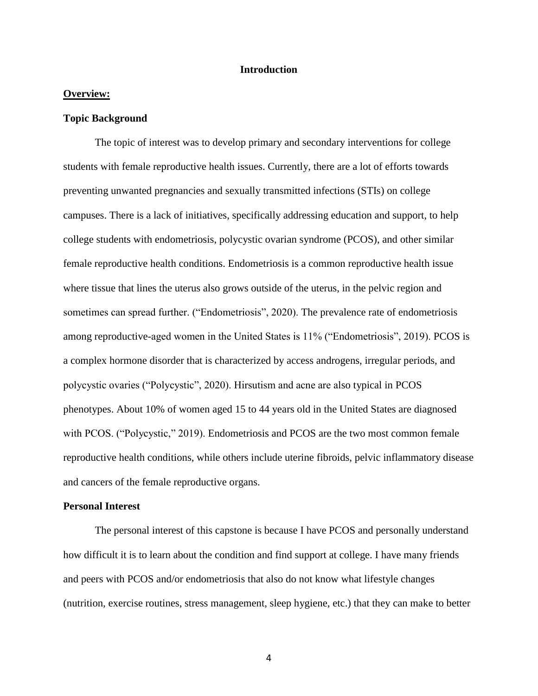#### **Introduction**

#### **Overview:**

#### **Topic Background**

The topic of interest was to develop primary and secondary interventions for college students with female reproductive health issues. Currently, there are a lot of efforts towards preventing unwanted pregnancies and sexually transmitted infections (STIs) on college campuses. There is a lack of initiatives, specifically addressing education and support, to help college students with endometriosis, polycystic ovarian syndrome (PCOS), and other similar female reproductive health conditions. Endometriosis is a common reproductive health issue where tissue that lines the uterus also grows outside of the uterus, in the pelvic region and sometimes can spread further. ("Endometriosis", 2020). The prevalence rate of endometriosis among reproductive-aged women in the United States is 11% ("Endometriosis", 2019). PCOS is a complex hormone disorder that is characterized by access androgens, irregular periods, and polycystic ovaries ("Polycystic", 2020). Hirsutism and acne are also typical in PCOS phenotypes. About 10% of women aged 15 to 44 years old in the United States are diagnosed with PCOS. ("Polycystic," 2019). Endometriosis and PCOS are the two most common female reproductive health conditions, while others include uterine fibroids, pelvic inflammatory disease and cancers of the female reproductive organs.

#### **Personal Interest**

The personal interest of this capstone is because I have PCOS and personally understand how difficult it is to learn about the condition and find support at college. I have many friends and peers with PCOS and/or endometriosis that also do not know what lifestyle changes (nutrition, exercise routines, stress management, sleep hygiene, etc.) that they can make to better

4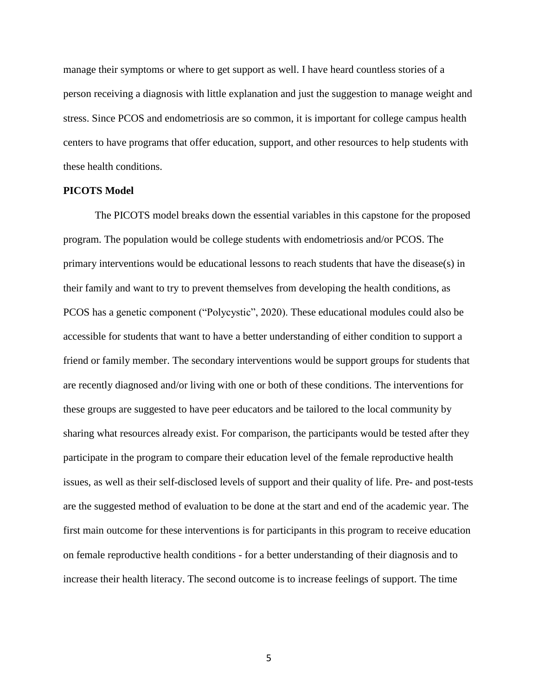manage their symptoms or where to get support as well. I have heard countless stories of a person receiving a diagnosis with little explanation and just the suggestion to manage weight and stress. Since PCOS and endometriosis are so common, it is important for college campus health centers to have programs that offer education, support, and other resources to help students with these health conditions.

#### **PICOTS Model**

The PICOTS model breaks down the essential variables in this capstone for the proposed program. The population would be college students with endometriosis and/or PCOS. The primary interventions would be educational lessons to reach students that have the disease(s) in their family and want to try to prevent themselves from developing the health conditions, as PCOS has a genetic component ("Polycystic", 2020). These educational modules could also be accessible for students that want to have a better understanding of either condition to support a friend or family member. The secondary interventions would be support groups for students that are recently diagnosed and/or living with one or both of these conditions. The interventions for these groups are suggested to have peer educators and be tailored to the local community by sharing what resources already exist. For comparison, the participants would be tested after they participate in the program to compare their education level of the female reproductive health issues, as well as their self-disclosed levels of support and their quality of life. Pre- and post-tests are the suggested method of evaluation to be done at the start and end of the academic year. The first main outcome for these interventions is for participants in this program to receive education on female reproductive health conditions - for a better understanding of their diagnosis and to increase their health literacy. The second outcome is to increase feelings of support. The time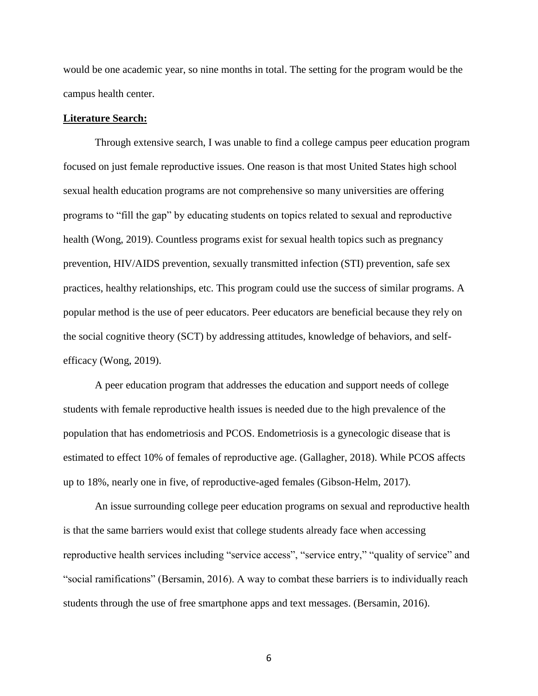would be one academic year, so nine months in total. The setting for the program would be the campus health center.

#### **Literature Search:**

Through extensive search, I was unable to find a college campus peer education program focused on just female reproductive issues. One reason is that most United States high school sexual health education programs are not comprehensive so many universities are offering programs to "fill the gap" by educating students on topics related to sexual and reproductive health (Wong, 2019). Countless programs exist for sexual health topics such as pregnancy prevention, HIV/AIDS prevention, sexually transmitted infection (STI) prevention, safe sex practices, healthy relationships, etc. This program could use the success of similar programs. A popular method is the use of peer educators. Peer educators are beneficial because they rely on the social cognitive theory (SCT) by addressing attitudes, knowledge of behaviors, and selfefficacy (Wong, 2019).

A peer education program that addresses the education and support needs of college students with female reproductive health issues is needed due to the high prevalence of the population that has endometriosis and PCOS. Endometriosis is a gynecologic disease that is estimated to effect 10% of females of reproductive age. (Gallagher, 2018). While PCOS affects up to 18%, nearly one in five, of reproductive-aged females (Gibson-Helm, 2017).

An issue surrounding college peer education programs on sexual and reproductive health is that the same barriers would exist that college students already face when accessing reproductive health services including "service access", "service entry," "quality of service" and "social ramifications" (Bersamin, 2016). A way to combat these barriers is to individually reach students through the use of free smartphone apps and text messages. (Bersamin, 2016).

6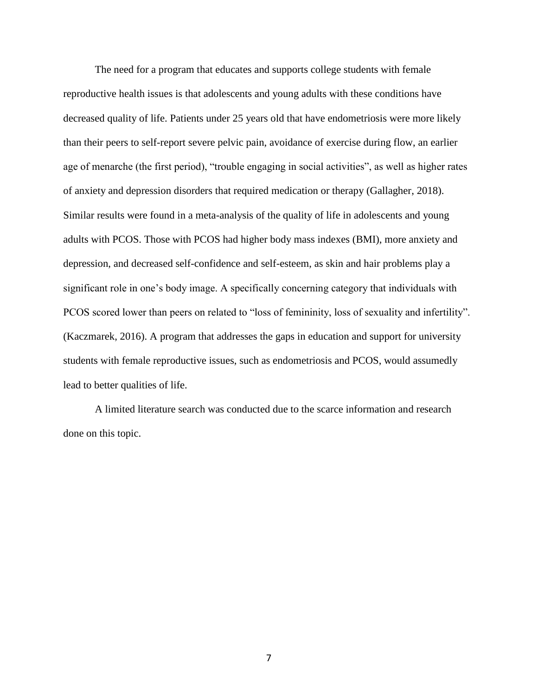The need for a program that educates and supports college students with female reproductive health issues is that adolescents and young adults with these conditions have decreased quality of life. Patients under 25 years old that have endometriosis were more likely than their peers to self-report severe pelvic pain, avoidance of exercise during flow, an earlier age of menarche (the first period), "trouble engaging in social activities", as well as higher rates of anxiety and depression disorders that required medication or therapy (Gallagher, 2018). Similar results were found in a meta-analysis of the quality of life in adolescents and young adults with PCOS. Those with PCOS had higher body mass indexes (BMI), more anxiety and depression, and decreased self-confidence and self-esteem, as skin and hair problems play a significant role in one's body image. A specifically concerning category that individuals with PCOS scored lower than peers on related to "loss of femininity, loss of sexuality and infertility". (Kaczmarek, 2016). A program that addresses the gaps in education and support for university students with female reproductive issues, such as endometriosis and PCOS, would assumedly lead to better qualities of life.

A limited literature search was conducted due to the scarce information and research done on this topic.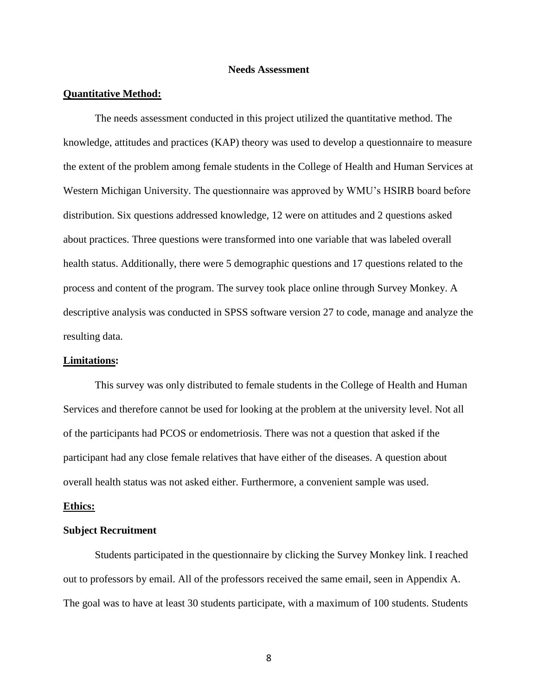#### **Needs Assessment**

#### **Quantitative Method:**

The needs assessment conducted in this project utilized the quantitative method. The knowledge, attitudes and practices (KAP) theory was used to develop a questionnaire to measure the extent of the problem among female students in the College of Health and Human Services at Western Michigan University. The questionnaire was approved by WMU's HSIRB board before distribution. Six questions addressed knowledge, 12 were on attitudes and 2 questions asked about practices. Three questions were transformed into one variable that was labeled overall health status. Additionally, there were 5 demographic questions and 17 questions related to the process and content of the program. The survey took place online through Survey Monkey. A descriptive analysis was conducted in SPSS software version 27 to code, manage and analyze the resulting data.

#### **Limitations:**

This survey was only distributed to female students in the College of Health and Human Services and therefore cannot be used for looking at the problem at the university level. Not all of the participants had PCOS or endometriosis. There was not a question that asked if the participant had any close female relatives that have either of the diseases. A question about overall health status was not asked either. Furthermore, a convenient sample was used.

#### **Ethics:**

#### **Subject Recruitment**

Students participated in the questionnaire by clicking the Survey Monkey link. I reached out to professors by email. All of the professors received the same email, seen in Appendix A. The goal was to have at least 30 students participate, with a maximum of 100 students. Students

8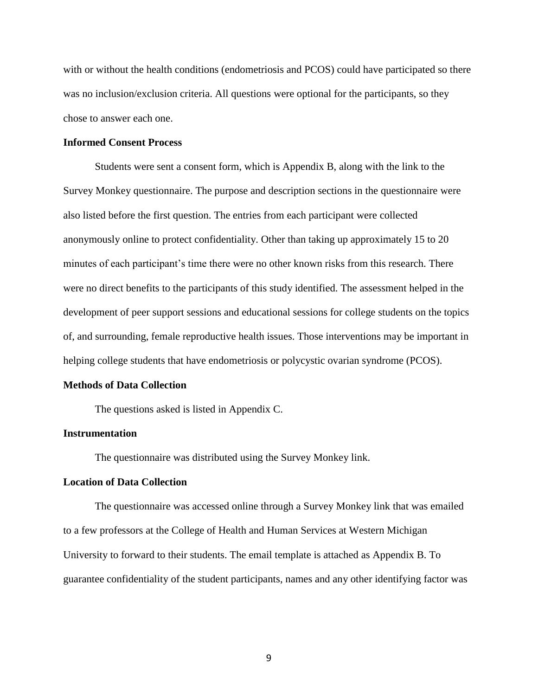with or without the health conditions (endometriosis and PCOS) could have participated so there was no inclusion/exclusion criteria. All questions were optional for the participants, so they chose to answer each one.

#### **Informed Consent Process**

Students were sent a consent form, which is Appendix B, along with the link to the Survey Monkey questionnaire. The purpose and description sections in the questionnaire were also listed before the first question. The entries from each participant were collected anonymously online to protect confidentiality. Other than taking up approximately 15 to 20 minutes of each participant's time there were no other known risks from this research. There were no direct benefits to the participants of this study identified. The assessment helped in the development of peer support sessions and educational sessions for college students on the topics of, and surrounding, female reproductive health issues. Those interventions may be important in helping college students that have endometriosis or polycystic ovarian syndrome (PCOS).

#### **Methods of Data Collection**

The questions asked is listed in Appendix C.

#### **Instrumentation**

The questionnaire was distributed using the Survey Monkey link.

#### **Location of Data Collection**

The questionnaire was accessed online through a Survey Monkey link that was emailed to a few professors at the College of Health and Human Services at Western Michigan University to forward to their students. The email template is attached as Appendix B. To guarantee confidentiality of the student participants, names and any other identifying factor was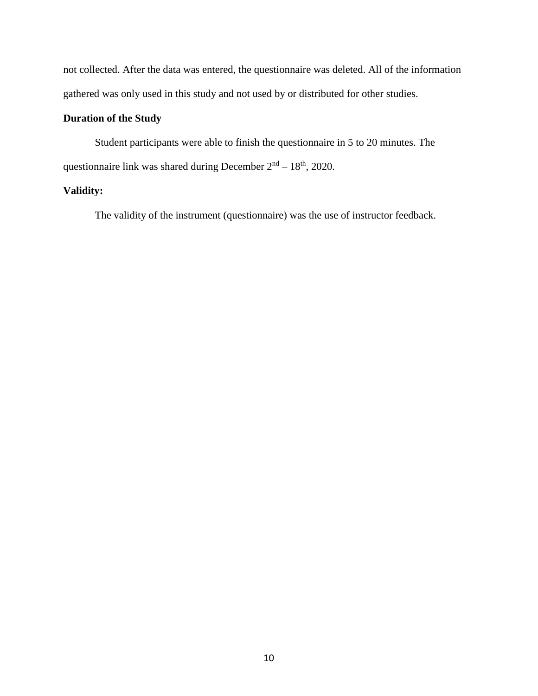not collected. After the data was entered, the questionnaire was deleted. All of the information gathered was only used in this study and not used by or distributed for other studies.

### **Duration of the Study**

Student participants were able to finish the questionnaire in 5 to 20 minutes. The questionnaire link was shared during December  $2<sup>nd</sup> - 18<sup>th</sup>$ , 2020.

### **Validity:**

The validity of the instrument (questionnaire) was the use of instructor feedback.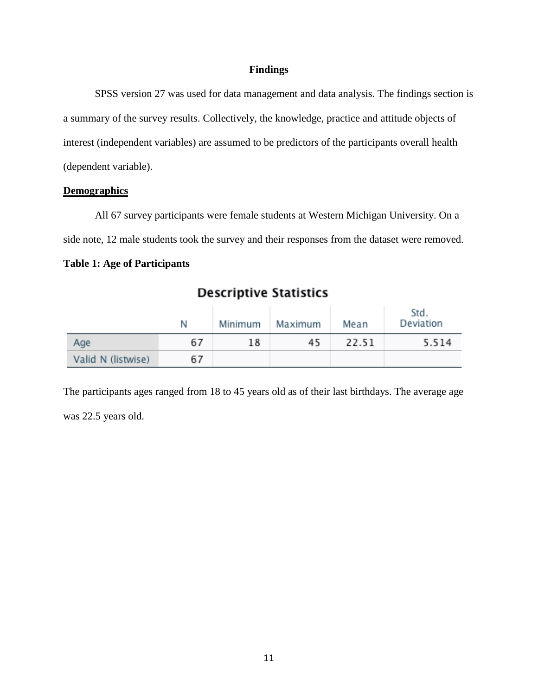#### **Findings**

SPSS version 27 was used for data management and data analysis. The findings section is a summary of the survey results. Collectively, the knowledge, practice and attitude objects of interest (independent variables) are assumed to be predictors of the participants overall health (dependent variable).

#### **Demographics**

All 67 survey participants were female students at Western Michigan University. On a side note, 12 male students took the survey and their responses from the dataset were removed.

### **Table 1: Age of Participants**

|                    | N  | Minimum | Maximum | Mean  | Std.<br>Deviation |
|--------------------|----|---------|---------|-------|-------------------|
| Age                | 67 | 18      | 45      | 22.51 | 5.514             |
| Valid N (listwise) | 67 |         |         |       |                   |

# **Descriptive Statistics**

The participants ages ranged from 18 to 45 years old as of their last birthdays. The average age was 22.5 years old.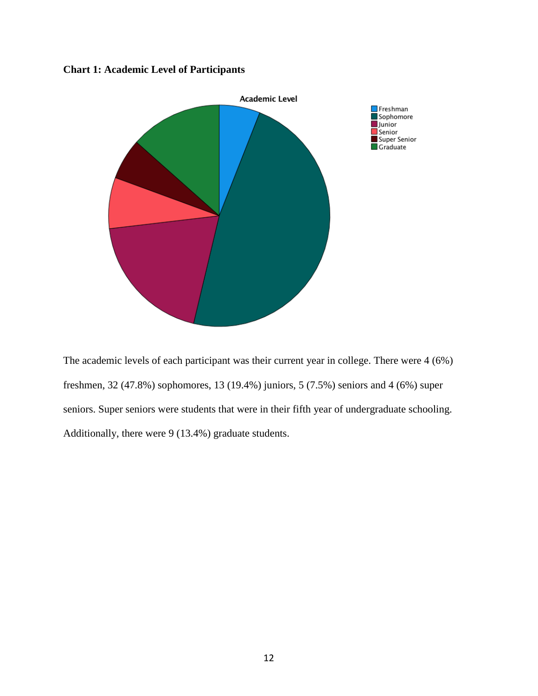### **Chart 1: Academic Level of Participants**



The academic levels of each participant was their current year in college. There were 4 (6%) freshmen, 32 (47.8%) sophomores, 13 (19.4%) juniors, 5 (7.5%) seniors and 4 (6%) super seniors. Super seniors were students that were in their fifth year of undergraduate schooling. Additionally, there were 9 (13.4%) graduate students.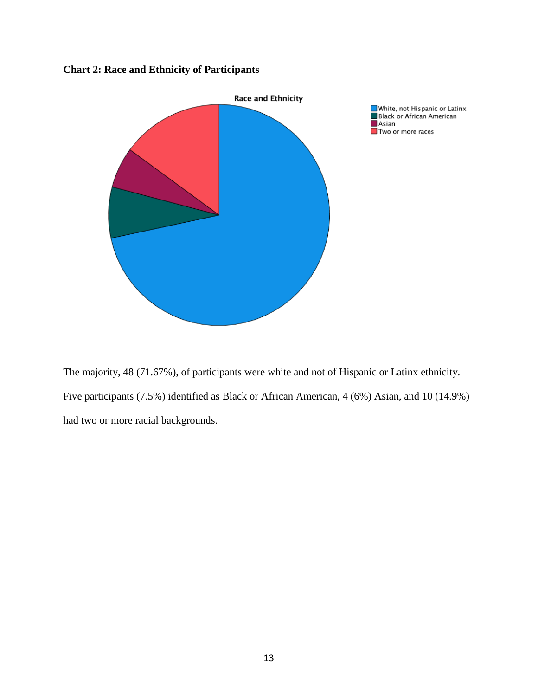### **Chart 2: Race and Ethnicity of Participants**



The majority, 48 (71.67%), of participants were white and not of Hispanic or Latinx ethnicity. Five participants (7.5%) identified as Black or African American, 4 (6%) Asian, and 10 (14.9%) had two or more racial backgrounds.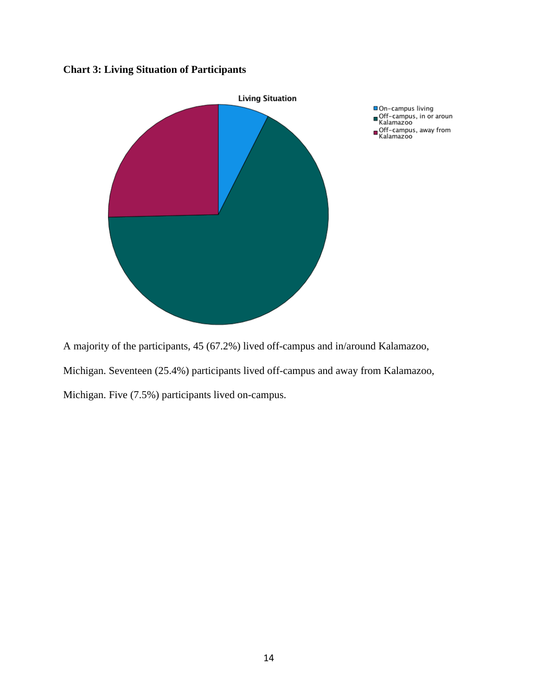### **Chart 3: Living Situation of Participants**



A majority of the participants, 45 (67.2%) lived off-campus and in/around Kalamazoo, Michigan. Seventeen (25.4%) participants lived off-campus and away from Kalamazoo,

Michigan. Five (7.5%) participants lived on-campus.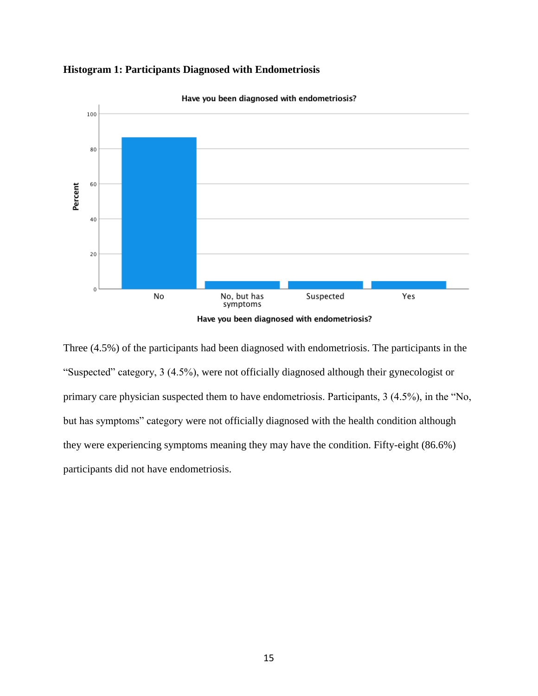



Have you been diagnosed with endometriosis?

Three (4.5%) of the participants had been diagnosed with endometriosis. The participants in the "Suspected" category, 3 (4.5%), were not officially diagnosed although their gynecologist or primary care physician suspected them to have endometriosis. Participants, 3 (4.5%), in the "No, but has symptoms" category were not officially diagnosed with the health condition although they were experiencing symptoms meaning they may have the condition. Fifty-eight (86.6%) participants did not have endometriosis.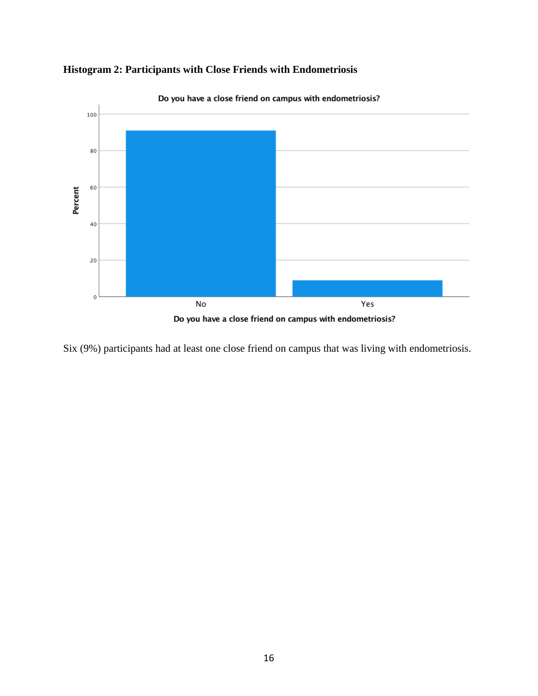

**Histogram 2: Participants with Close Friends with Endometriosis**

Six (9%) participants had at least one close friend on campus that was living with endometriosis.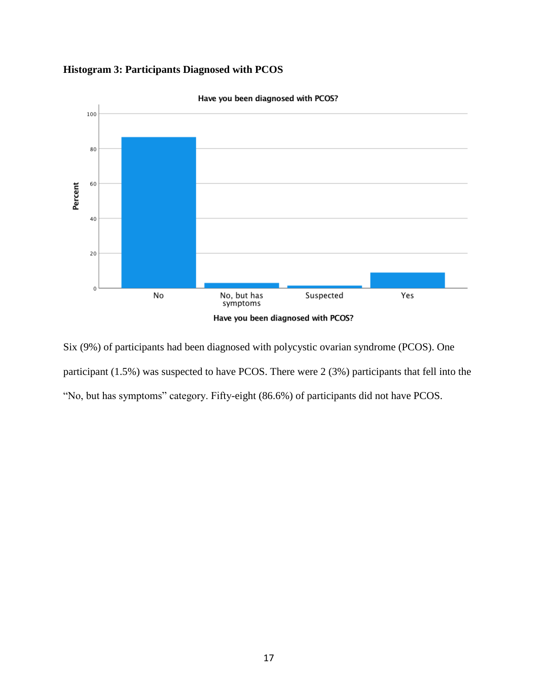### **Histogram 3: Participants Diagnosed with PCOS**



Six (9%) of participants had been diagnosed with polycystic ovarian syndrome (PCOS). One participant (1.5%) was suspected to have PCOS. There were 2 (3%) participants that fell into the "No, but has symptoms" category. Fifty-eight (86.6%) of participants did not have PCOS.

# Have you been diagnosed with PCOS?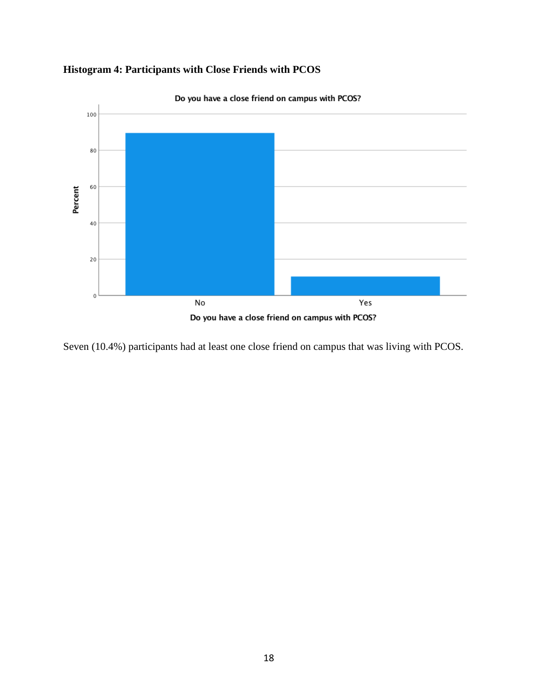



Do you have a close friend on campus with PCOS?

Seven (10.4%) participants had at least one close friend on campus that was living with PCOS.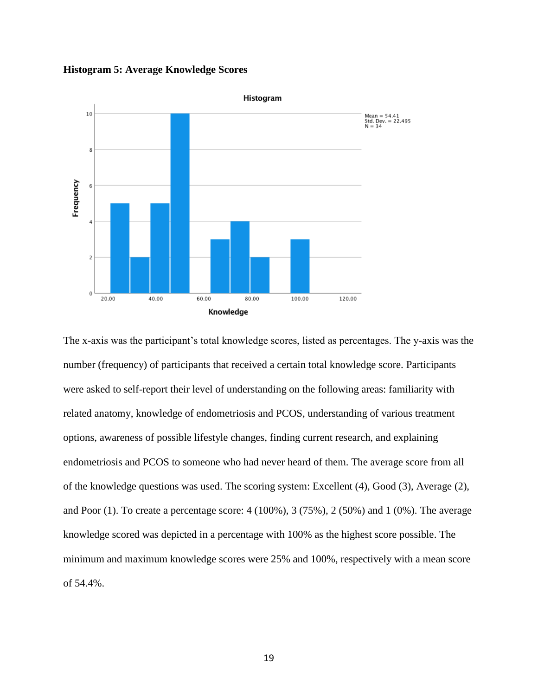**Histogram 5: Average Knowledge Scores**



The x-axis was the participant's total knowledge scores, listed as percentages. The y-axis was the number (frequency) of participants that received a certain total knowledge score. Participants were asked to self-report their level of understanding on the following areas: familiarity with related anatomy, knowledge of endometriosis and PCOS, understanding of various treatment options, awareness of possible lifestyle changes, finding current research, and explaining endometriosis and PCOS to someone who had never heard of them. The average score from all of the knowledge questions was used. The scoring system: Excellent (4), Good (3), Average (2), and Poor (1). To create a percentage score:  $4(100\%)$ ,  $3(75\%)$ ,  $2(50\%)$  and  $1(0\%)$ . The average knowledge scored was depicted in a percentage with 100% as the highest score possible. The minimum and maximum knowledge scores were 25% and 100%, respectively with a mean score of 54.4%.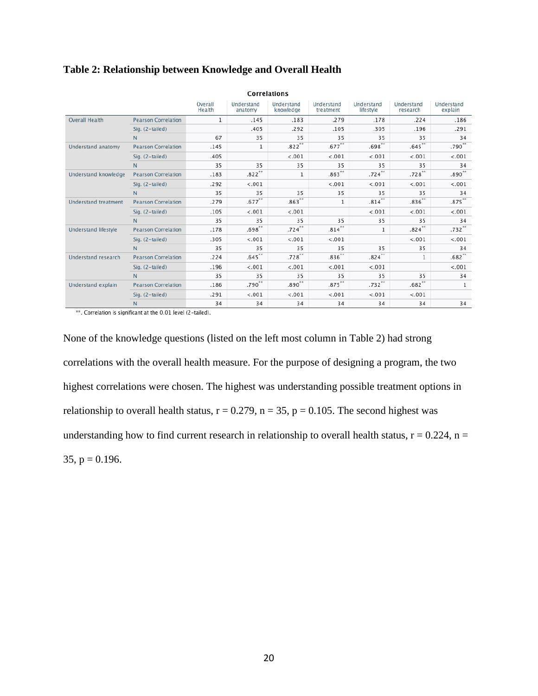|                             | Correlations               |                   |                       |                         |                         |                         |                        |                       |
|-----------------------------|----------------------------|-------------------|-----------------------|-------------------------|-------------------------|-------------------------|------------------------|-----------------------|
|                             |                            | Overall<br>Health | Understand<br>anatomy | Understand<br>knowledge | Understand<br>treatment | Understand<br>lifestyle | Understand<br>research | Understand<br>explain |
| <b>Overall Health</b>       | <b>Pearson Correlation</b> | 1                 | .145                  | .183                    | .279                    | .178                    | .224                   | .186                  |
|                             | Sig. (2-tailed)            |                   | .405                  | .292                    | .105                    | .305                    | .196                   | .291                  |
|                             | N                          | 67                | 35                    | 35                      | 35                      | 35                      | 35                     | 34                    |
| Understand anatomy          | <b>Pearson Correlation</b> | .145              | 1                     | $.822***$               | $.677**$                | $.698**$                | .645                   | $.790**$              |
|                             | Sig. (2-tailed)            | .405              |                       | < .001                  | < .001                  | < .001                  | < .001                 | < .001                |
|                             | N                          | 35                | 35                    | 35                      | 35                      | 35                      | 35                     | 34                    |
| Understand knowledge        | <b>Pearson Correlation</b> | .183              | $.822***$             | 1                       | $.863**$                | $.724***$               | $.728***$              | $.890***$             |
|                             | Sig. (2-tailed)            | .292              | < .001                |                         | < .001                  | < .001                  | < .001                 | < .001                |
|                             | N                          | 35                | 35                    | 35                      | 35                      | 35                      | 35                     | 34                    |
| <b>Understand treatment</b> | <b>Pearson Correlation</b> | .279              | $.677***$             | $.863**$                | 1                       | $.814***$               | $.836**$               | $.875***$             |
|                             | Sig. (2-tailed)            | .105              | < .001                | < .001                  |                         | < .001                  | < .001                 | < .001                |
|                             | N                          | 35                | 35                    | 35                      | 35                      | 35                      | 35                     | 34                    |
| Understand lifestyle        | <b>Pearson Correlation</b> | .178              | $.698**$              | $.724$ <sup>**</sup>    | $.814***$               | 1                       | $.824***$              | $.732***$             |
|                             | Sig. (2-tailed)            | .305              | < .001                | < .001                  | < .001                  |                         | < .001                 | < .001                |
|                             | N                          | 35                | 35                    | 35                      | 35                      | 35                      | 35                     | 34                    |
| Understand research         | <b>Pearson Correlation</b> | .224              | $.645$ **             | $.728***$               | $.836**$                | $.824$ **               | 1                      | $.682**$              |
|                             | Sig. (2-tailed)            | .196              | < .001                | < .001                  | < .001                  | < .001                  |                        | < .001                |
|                             | N                          | 35                | 35                    | 35                      | 35                      | 35                      | 35                     | 34                    |
| Understand explain          | <b>Pearson Correlation</b> | .186              | $.790**$              | $.890**$                | $.875***$               | $.732***$               | $.682**$               | 1                     |
|                             | Sig. (2-tailed)            | .291              | < .001                | < .001                  | < .001                  | < .001                  | < .001                 |                       |
|                             | N                          | 34                | 34                    | 34                      | 34                      | 34                      | 34                     | 34                    |

#### **Table 2: Relationship between Knowledge and Overall Health**

\*\*. Correlation is significant at the 0.01 level (2-tailed).

None of the knowledge questions (listed on the left most column in Table 2) had strong correlations with the overall health measure. For the purpose of designing a program, the two highest correlations were chosen. The highest was understanding possible treatment options in relationship to overall health status,  $r = 0.279$ ,  $n = 35$ ,  $p = 0.105$ . The second highest was understanding how to find current research in relationship to overall health status,  $r = 0.224$ ,  $n =$  $35, p = 0.196.$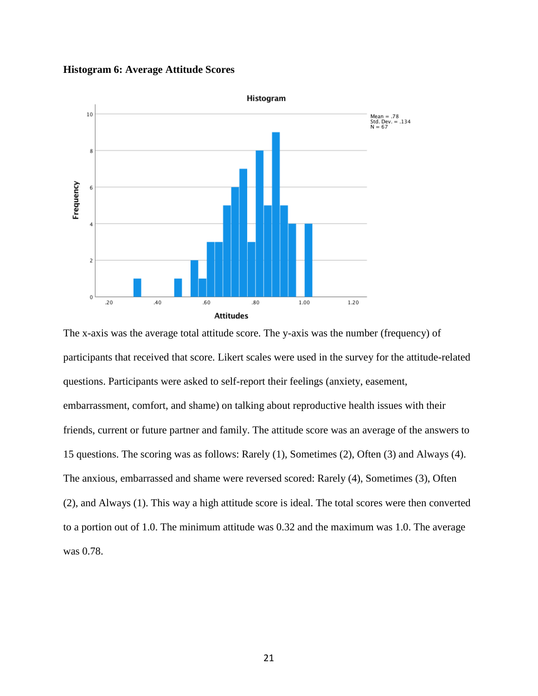**Histogram 6: Average Attitude Scores**



The x-axis was the average total attitude score. The y-axis was the number (frequency) of participants that received that score. Likert scales were used in the survey for the attitude-related questions. Participants were asked to self-report their feelings (anxiety, easement, embarrassment, comfort, and shame) on talking about reproductive health issues with their friends, current or future partner and family. The attitude score was an average of the answers to 15 questions. The scoring was as follows: Rarely (1), Sometimes (2), Often (3) and Always (4). The anxious, embarrassed and shame were reversed scored: Rarely (4), Sometimes (3), Often (2), and Always (1). This way a high attitude score is ideal. The total scores were then converted to a portion out of 1.0. The minimum attitude was 0.32 and the maximum was 1.0. The average was 0.78.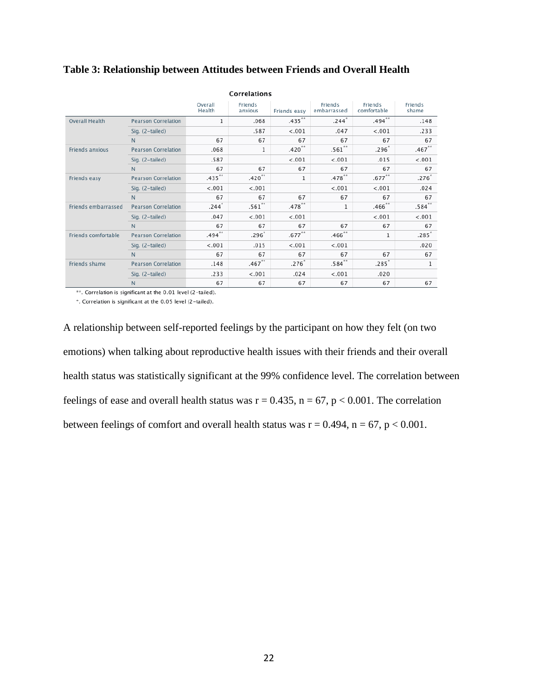| Correlations          |                            |                   |                    |                   |                        |                        |                  |  |
|-----------------------|----------------------------|-------------------|--------------------|-------------------|------------------------|------------------------|------------------|--|
|                       |                            | Overall<br>Health | Friends<br>anxious | Friends easy      | Friends<br>embarrassed | Friends<br>comfortable | Friends<br>shame |  |
| <b>Overall Health</b> | <b>Pearson Correlation</b> | 1                 | .068               | $.435***$         | $.244$ <sup>*</sup>    | $.494***$              | .148             |  |
|                       | Sig. (2-tailed)            |                   | .587               | < .001            | .047                   | < .001                 | .233             |  |
|                       | N.                         | 67                | 67                 | 67                | 67                     | 67                     | 67               |  |
| Friends anxious       | <b>Pearson Correlation</b> | .068              | 1                  | $.420**$          | $.561**$               | $.296*$                | $.467**$         |  |
|                       | Sig. (2-tailed)            | .587              |                    | < .001            | < .001                 | .015                   | < .001           |  |
|                       | N                          | 67                | 67                 | 67                | 67                     | 67                     | 67               |  |
| Friends easy          | <b>Pearson Correlation</b> | $.435***$         | $.420***$          | 1                 | $.478***$              | $.677***$              | $.276*$          |  |
|                       | Sig. (2-tailed)            | $-.001$           | < .001             |                   | < .001                 | < .001                 | .024             |  |
|                       | N                          | 67                | 67                 | 67                | 67                     | 67                     | 67               |  |
| Friends embarrassed   | <b>Pearson Correlation</b> | .244              | $.561**$           | $.478***$         | 1                      | $.466$ **              | $.584$ **        |  |
|                       | Sig. (2-tailed)            | .047              | < .001             | < .001            |                        | < .001                 | < .001           |  |
|                       | N                          | 67                | 67                 | 67                | 67                     | 67                     | 67               |  |
| Friends comfortable   | <b>Pearson Correlation</b> | $.494***$         | .296 <sup>°</sup>  | $.677***$         | $.466$ **              | 1                      | $.285*$          |  |
|                       | Sig. (2-tailed)            | < .001            | .015               | < .001            | < .001                 |                        | .020             |  |
|                       | N                          | 67                | 67                 | 67                | 67                     | 67                     | 67               |  |
| Friends shame         | <b>Pearson Correlation</b> | .148              | $.467***$          | .276 <sup>°</sup> | $.584***$              | .285                   | 1                |  |
|                       | Sig. (2-tailed)            | .233              | < .001             | .024              | < .001                 | .020                   |                  |  |
|                       | N                          | 67                | 67                 | 67                | 67                     | 67                     | 67               |  |

#### **Table 3: Relationship between Attitudes between Friends and Overall Health**

\*\*. Correlation is significant at the 0.01 level (2-tailed).

\*. Correlation is significant at the 0.05 level (2-tailed).

A relationship between self-reported feelings by the participant on how they felt (on two emotions) when talking about reproductive health issues with their friends and their overall health status was statistically significant at the 99% confidence level. The correlation between feelings of ease and overall health status was  $r = 0.435$ ,  $n = 67$ ,  $p < 0.001$ . The correlation between feelings of comfort and overall health status was  $r = 0.494$ ,  $n = 67$ ,  $p < 0.001$ .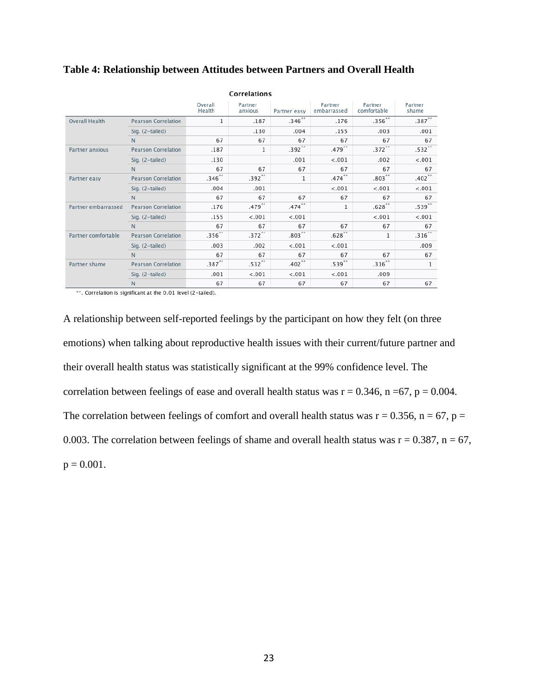| Correlations          |                            |                   |                      |                      |                        |                        |                  |  |
|-----------------------|----------------------------|-------------------|----------------------|----------------------|------------------------|------------------------|------------------|--|
|                       |                            | Overall<br>Health | Partner<br>anxious   | Partner easy         | Partner<br>embarrassed | Partner<br>comfortable | Partner<br>shame |  |
| <b>Overall Health</b> | <b>Pearson Correlation</b> | $\mathbf{1}$      | .187                 | $.346***$            | .176                   | $.356**$               | $.387***$        |  |
|                       | Sig. (2-tailed)            |                   | .130                 | .004                 | .155                   | .003                   | .001             |  |
|                       | N                          | 67                | 67                   | 67                   | 67                     | 67                     | 67               |  |
| Partner anxious       | <b>Pearson Correlation</b> | .187              | $\mathbf{1}$         | $.392**$             | $.479***$              | $.372***$              | $.532***$        |  |
|                       | Sig. (2-tailed)            | .130              |                      | .001                 | < .001                 | .002                   | $-.001$          |  |
|                       | N                          | 67                | 67                   | 67                   | 67                     | 67                     | 67               |  |
| Partner easy          | <b>Pearson Correlation</b> | $.346**$          | $.392***$            | 1                    | $.474***$              | $.803**$               | $.402***$        |  |
|                       | Sig. (2-tailed)            | .004              | .001                 |                      | < .001                 | < .001                 | < .001           |  |
|                       | N                          | 67                | 67                   | 67                   | 67                     | 67                     | 67               |  |
| Partner embarrassed   | <b>Pearson Correlation</b> | .176              | $.479$ <sup>**</sup> | $.474$ <sup>**</sup> | 1                      | $.628***$              | $.539**$         |  |
|                       | Sig. (2-tailed)            | .155              | < .001               | < .001               |                        | < .001                 | < .001           |  |
|                       | N                          | 67                | 67                   | 67                   | 67                     | 67                     | 67               |  |
| Partner comfortable   | <b>Pearson Correlation</b> | $.356**$          | $.372***$            | $.803**$             | $.628**$               | 1                      | $.316***$        |  |
|                       | Sig. (2-tailed)            | .003              | .002                 | < .001               | $-.001$                |                        | .009             |  |
|                       | N                          | 67                | 67                   | 67                   | 67                     | 67                     | 67               |  |
| Partner shame         | <b>Pearson Correlation</b> | $.387**$          | $.532**$             | $.402**$             | $.539**$               | $.316**$               | 1                |  |
|                       | Sig. (2-tailed)            | .001              | < .001               | < .001               | < .001                 | .009                   |                  |  |
|                       | N                          | 67                | 67                   | 67                   | 67                     | 67                     | 67               |  |

#### **Table 4: Relationship between Attitudes between Partners and Overall Health**

\*\*. Correlation is significant at the 0.01 level (2-tailed).

A relationship between self-reported feelings by the participant on how they felt (on three emotions) when talking about reproductive health issues with their current/future partner and their overall health status was statistically significant at the 99% confidence level. The correlation between feelings of ease and overall health status was  $r = 0.346$ ,  $n = 67$ ,  $p = 0.004$ . The correlation between feelings of comfort and overall health status was  $r = 0.356$ ,  $n = 67$ ,  $p =$ 0.003. The correlation between feelings of shame and overall health status was  $r = 0.387$ ,  $n = 67$ ,  $p = 0.001$ .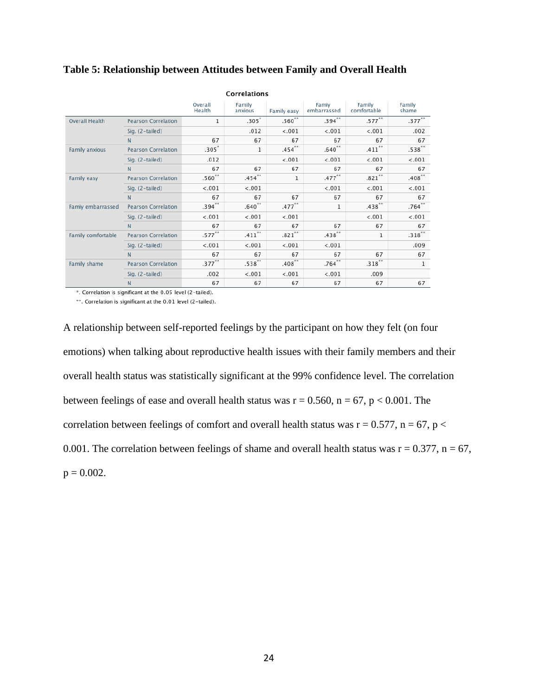| Correlations          |                            |                   |                      |             |                      |                       |                 |
|-----------------------|----------------------------|-------------------|----------------------|-------------|----------------------|-----------------------|-----------------|
|                       |                            | Overall<br>Health | Family<br>anxious    | Family easy | Famiv<br>embarrassed | Family<br>comfortable | Family<br>shame |
| <b>Overall Health</b> | <b>Pearson Correlation</b> | 1                 | $.305*$              | $.560**$    | $.394$ **            | $.577***$             | $.377***$       |
|                       | Sig. (2-tailed)            |                   | .012                 | < .001      | < .001               | < .001                | .002            |
|                       | N                          | 67                | 67                   | 67          | 67                   | 67                    | 67              |
| Family anxious        | <b>Pearson Correlation</b> | $.305*$           | 1                    | .454        | $.640**$             | $.411$ <sup>**</sup>  | $.538***$       |
|                       | Sig. (2-tailed)            | .012              |                      | < .001      | < .001               | < .001                | < .001          |
|                       | N                          | 67                | 67                   | 67          | 67                   | 67                    | 67              |
| Family easy           | <b>Pearson Correlation</b> | $.560**$          | $.454***$            | 1           | $.477***$            | $.821***$             | $.408***$       |
|                       | Sig. (2-tailed)            | < .001            | < .001               |             | < .001               | < .001                | < .001          |
|                       | N                          | 67                | 67                   | 67          | 67                   | 67                    | 67              |
| Famiy embarrassed     | <b>Pearson Correlation</b> | $.394***$         | $.640**$             | $.477***$   | 1                    | $.438$ **             | $.764$ **       |
|                       | Sig. (2-tailed)            | < .001            | < .001               | < .001      |                      | < .001                | < .001          |
|                       | N                          | 67                | 67                   | 67          | 67                   | 67                    | 67              |
| Family comfortable    | <b>Pearson Correlation</b> | $.577***$         | $.411$ <sup>**</sup> | $.821***$   | $.438***$            | 1                     | $.318***$       |
|                       | Sig. (2-tailed)            | < .001            | < .001               | < .001      | < .001               |                       | .009            |
|                       | N                          | 67                | 67                   | 67          | 67                   | 67                    | 67              |
| Family shame          | <b>Pearson Correlation</b> | $.377***$         | $.538***$            | .408        | $.764$ **            | $.318***$             | 1               |
|                       | Sig. (2-tailed)            | .002              | < .001               | < .001      | < .001               | .009                  |                 |
|                       | N                          | 67                | 67                   | 67          | 67                   | 67                    | 67              |

#### **Table 5: Relationship between Attitudes between Family and Overall Health**

\*. Correlation is significant at the 0.05 level (2-tailed).

\*\*. Correlation is significant at the 0.01 level (2-tailed).

A relationship between self-reported feelings by the participant on how they felt (on four emotions) when talking about reproductive health issues with their family members and their overall health status was statistically significant at the 99% confidence level. The correlation between feelings of ease and overall health status was  $r = 0.560$ ,  $n = 67$ ,  $p < 0.001$ . The correlation between feelings of comfort and overall health status was  $r = 0.577$ ,  $n = 67$ ,  $p <$ 0.001. The correlation between feelings of shame and overall health status was  $r = 0.377$ ,  $n = 67$ ,  $p = 0.002$ .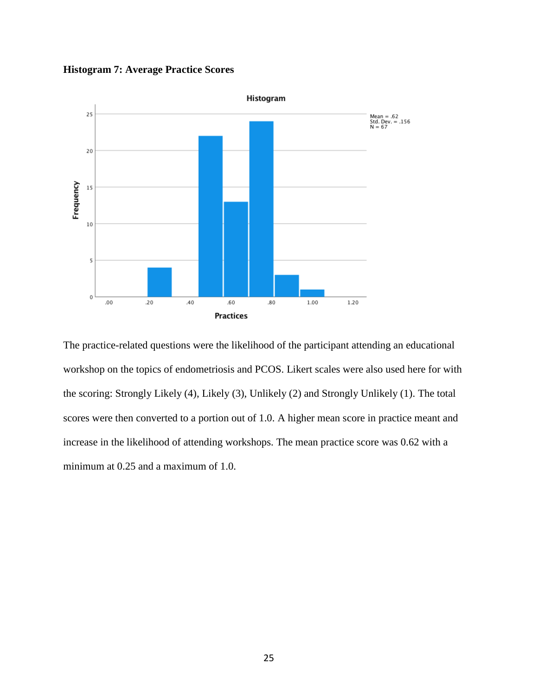**Histogram 7: Average Practice Scores**



The practice-related questions were the likelihood of the participant attending an educational workshop on the topics of endometriosis and PCOS. Likert scales were also used here for with the scoring: Strongly Likely (4), Likely (3), Unlikely (2) and Strongly Unlikely (1). The total scores were then converted to a portion out of 1.0. A higher mean score in practice meant and increase in the likelihood of attending workshops. The mean practice score was 0.62 with a minimum at 0.25 and a maximum of 1.0.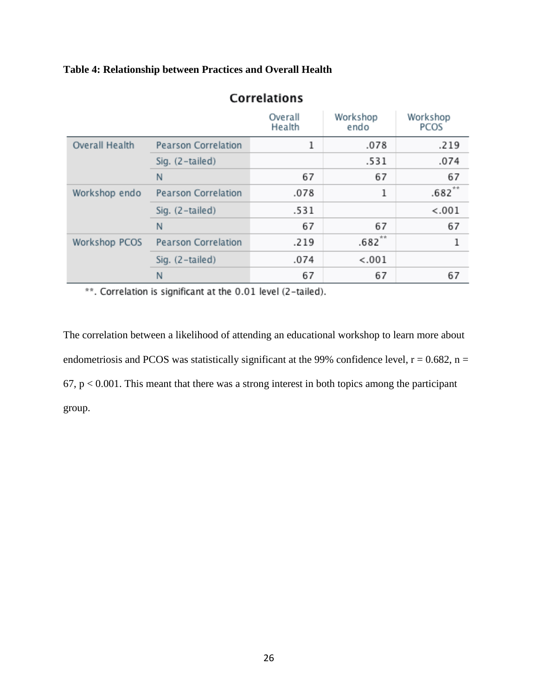### **Table 4: Relationship between Practices and Overall Health**

|                       |                            | Overall<br>Health | Workshop<br>endo | Workshop<br>PCOS |
|-----------------------|----------------------------|-------------------|------------------|------------------|
| <b>Overall Health</b> | <b>Pearson Correlation</b> | 1                 | .078             | .219             |
|                       | Sig. (2-tailed)            |                   | .531             | .074             |
|                       | N                          | 67                | 67               | 67               |
| Workshop endo         | <b>Pearson Correlation</b> | .078              | 1                | $.682**$         |
|                       | Sig. (2-tailed)            | .531              |                  | < .001           |
|                       | N                          | 67                | 67               | 67               |
| Workshop PCOS         | <b>Pearson Correlation</b> | .219              | $.682**$         |                  |
|                       | Sig. (2-tailed)            | .074              | < .001           |                  |
|                       | N                          | 67                | 67               | 67               |

# **Correlations**

\*\*. Correlation is significant at the 0.01 level (2-tailed).

The correlation between a likelihood of attending an educational workshop to learn more about endometriosis and PCOS was statistically significant at the 99% confidence level,  $r = 0.682$ ,  $n =$  $67$ ,  $p < 0.001$ . This meant that there was a strong interest in both topics among the participant group.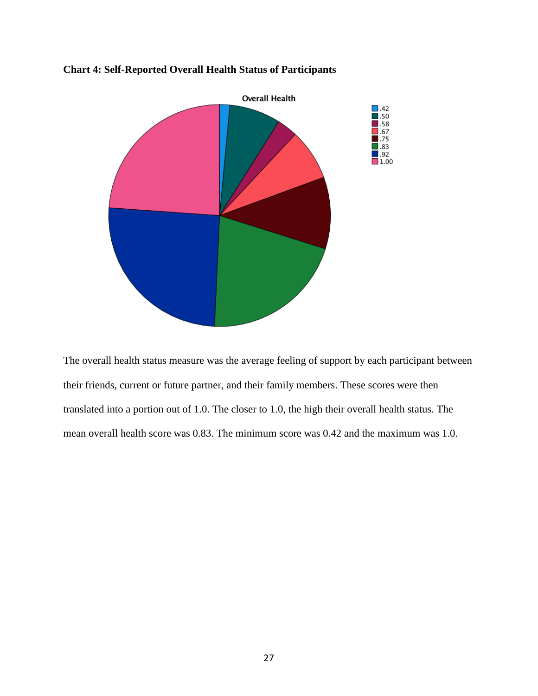

### **Chart 4: Self-Reported Overall Health Status of Participants**

The overall health status measure was the average feeling of support by each participant between their friends, current or future partner, and their family members. These scores were then translated into a portion out of 1.0. The closer to 1.0, the high their overall health status. The mean overall health score was 0.83. The minimum score was 0.42 and the maximum was 1.0.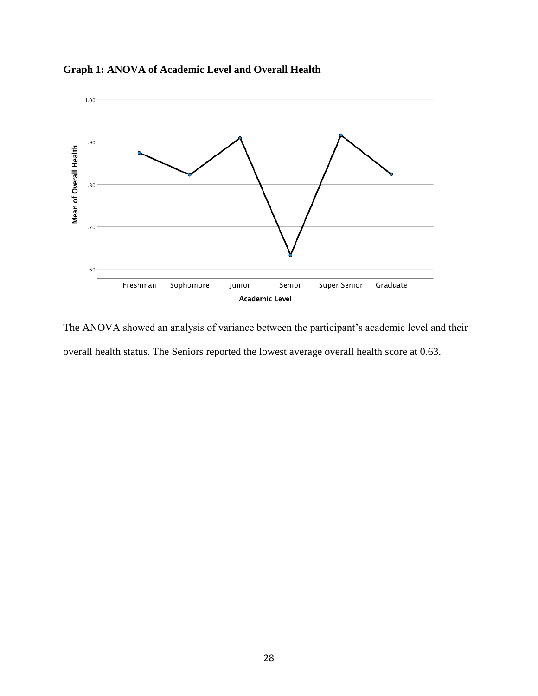

**Graph 1: ANOVA of Academic Level and Overall Health** 

The ANOVA showed an analysis of variance between the participant's academic level and their overall health status. The Seniors reported the lowest average overall health score at 0.63.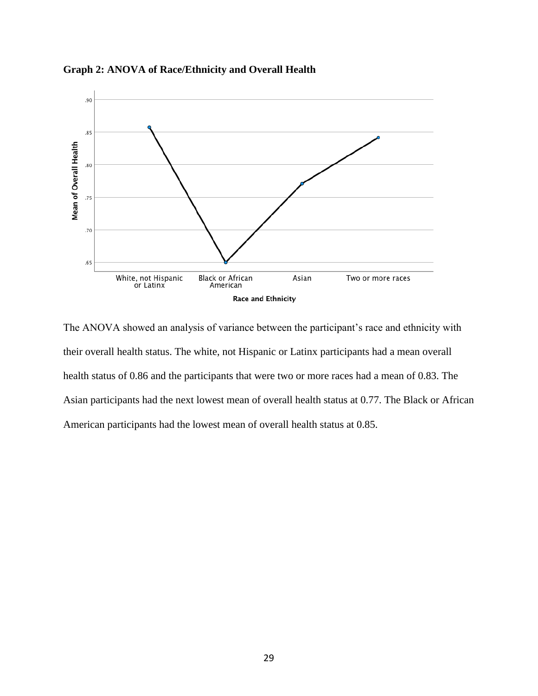

**Graph 2: ANOVA of Race/Ethnicity and Overall Health**

The ANOVA showed an analysis of variance between the participant's race and ethnicity with their overall health status. The white, not Hispanic or Latinx participants had a mean overall health status of 0.86 and the participants that were two or more races had a mean of 0.83. The Asian participants had the next lowest mean of overall health status at 0.77. The Black or African American participants had the lowest mean of overall health status at 0.85.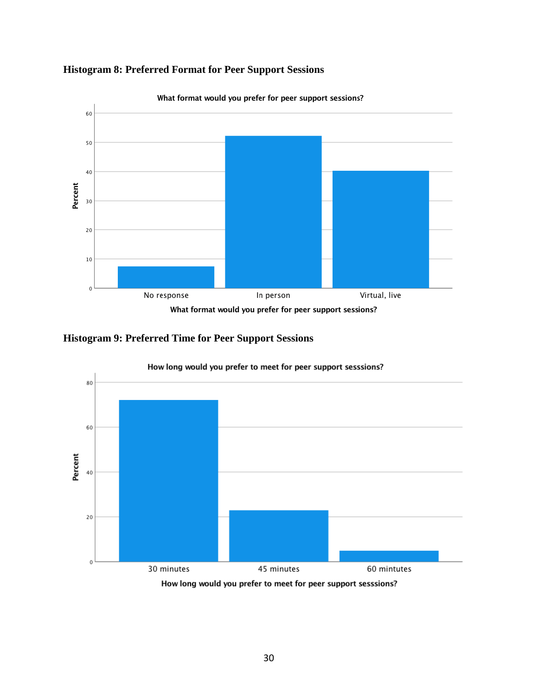



**Histogram 9: Preferred Time for Peer Support Sessions**

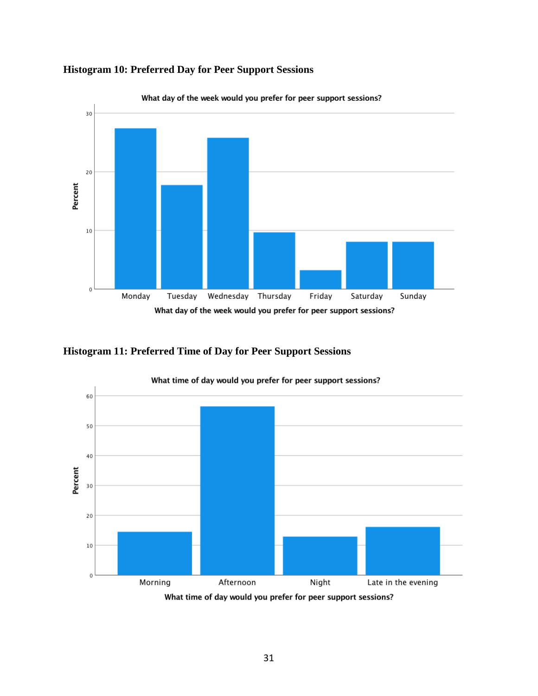

### **Histogram 10: Preferred Day for Peer Support Sessions**





What time of day would you prefer for peer support sessions?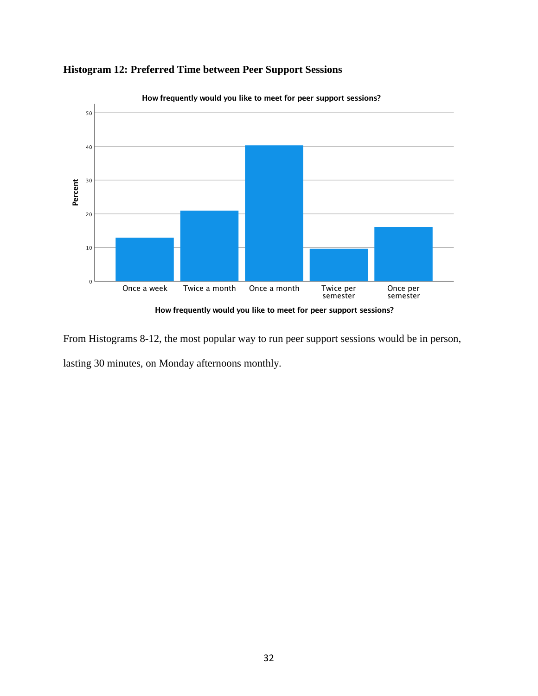

### **Histogram 12: Preferred Time between Peer Support Sessions**

How frequently would you like to meet for peer support sessions?

From Histograms 8-12, the most popular way to run peer support sessions would be in person, lasting 30 minutes, on Monday afternoons monthly.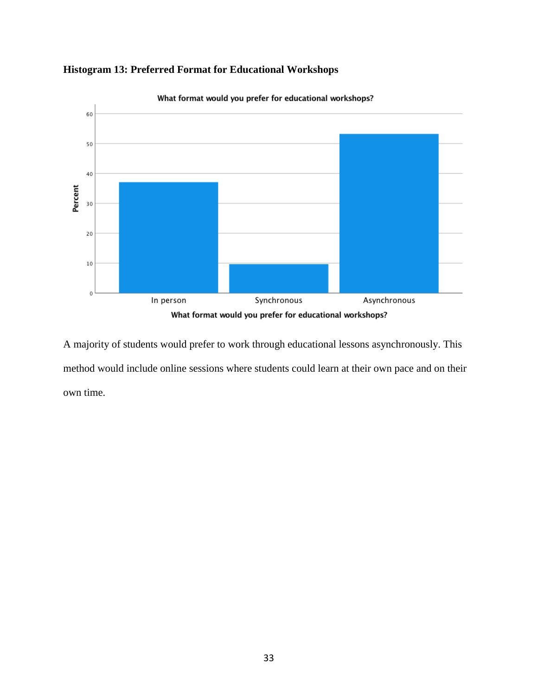

## **Histogram 13: Preferred Format for Educational Workshops**

A majority of students would prefer to work through educational lessons asynchronously. This method would include online sessions where students could learn at their own pace and on their own time.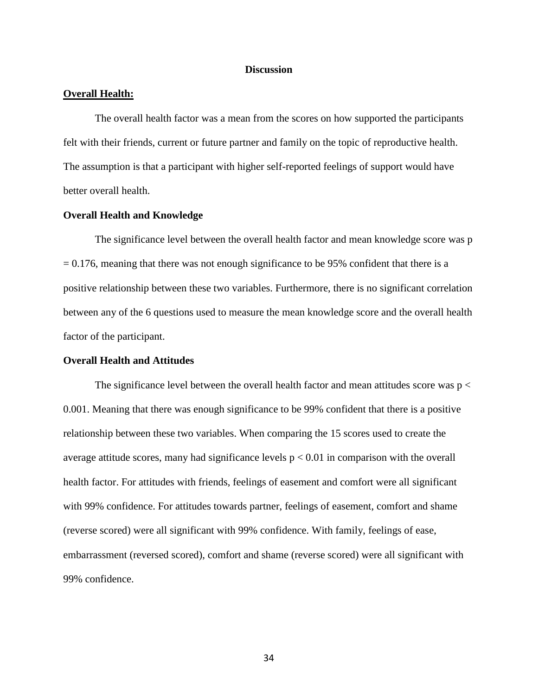#### **Discussion**

#### **Overall Health:**

The overall health factor was a mean from the scores on how supported the participants felt with their friends, current or future partner and family on the topic of reproductive health. The assumption is that a participant with higher self-reported feelings of support would have better overall health.

#### **Overall Health and Knowledge**

The significance level between the overall health factor and mean knowledge score was p  $= 0.176$ , meaning that there was not enough significance to be 95% confident that there is a positive relationship between these two variables. Furthermore, there is no significant correlation between any of the 6 questions used to measure the mean knowledge score and the overall health factor of the participant.

#### **Overall Health and Attitudes**

The significance level between the overall health factor and mean attitudes score was  $p <$ 0.001. Meaning that there was enough significance to be 99% confident that there is a positive relationship between these two variables. When comparing the 15 scores used to create the average attitude scores, many had significance levels  $p < 0.01$  in comparison with the overall health factor. For attitudes with friends, feelings of easement and comfort were all significant with 99% confidence. For attitudes towards partner, feelings of easement, comfort and shame (reverse scored) were all significant with 99% confidence. With family, feelings of ease, embarrassment (reversed scored), comfort and shame (reverse scored) were all significant with 99% confidence.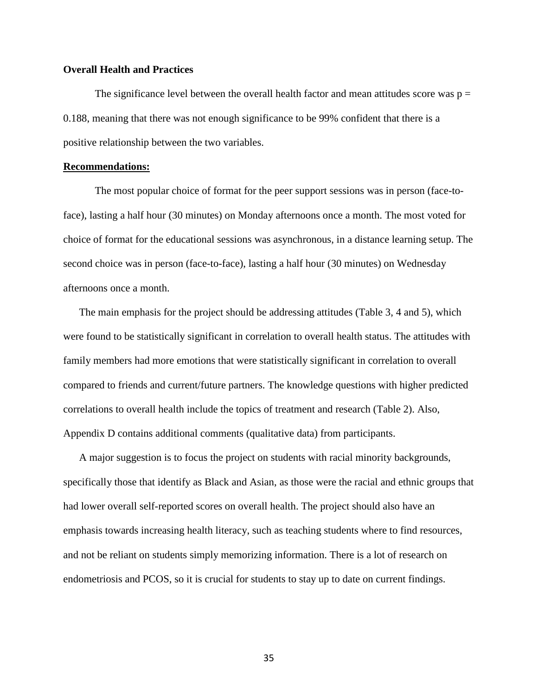#### **Overall Health and Practices**

The significance level between the overall health factor and mean attitudes score was  $p =$ 0.188, meaning that there was not enough significance to be 99% confident that there is a positive relationship between the two variables.

#### **Recommendations:**

The most popular choice of format for the peer support sessions was in person (face-toface), lasting a half hour (30 minutes) on Monday afternoons once a month. The most voted for choice of format for the educational sessions was asynchronous, in a distance learning setup. The second choice was in person (face-to-face), lasting a half hour (30 minutes) on Wednesday afternoons once a month.

The main emphasis for the project should be addressing attitudes (Table 3, 4 and 5), which were found to be statistically significant in correlation to overall health status. The attitudes with family members had more emotions that were statistically significant in correlation to overall compared to friends and current/future partners. The knowledge questions with higher predicted correlations to overall health include the topics of treatment and research (Table 2). Also, Appendix D contains additional comments (qualitative data) from participants.

A major suggestion is to focus the project on students with racial minority backgrounds, specifically those that identify as Black and Asian, as those were the racial and ethnic groups that had lower overall self-reported scores on overall health. The project should also have an emphasis towards increasing health literacy, such as teaching students where to find resources, and not be reliant on students simply memorizing information. There is a lot of research on endometriosis and PCOS, so it is crucial for students to stay up to date on current findings.

35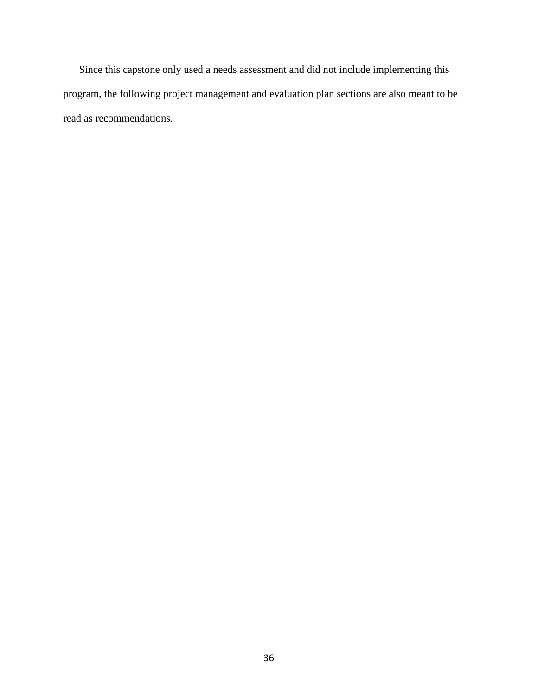Since this capstone only used a needs assessment and did not include implementing this program, the following project management and evaluation plan sections are also meant to be read as recommendations.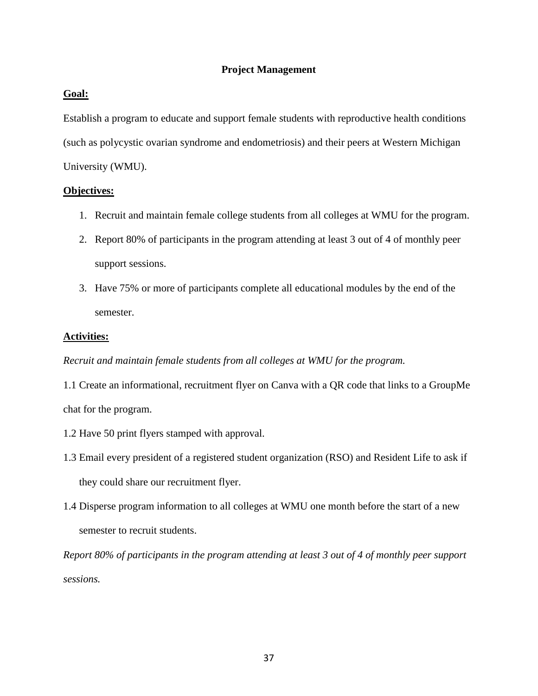### **Project Management**

### **Goal:**

Establish a program to educate and support female students with reproductive health conditions (such as polycystic ovarian syndrome and endometriosis) and their peers at Western Michigan University (WMU).

#### **Objectives:**

- 1. Recruit and maintain female college students from all colleges at WMU for the program.
- 2. Report 80% of participants in the program attending at least 3 out of 4 of monthly peer support sessions.
- 3. Have 75% or more of participants complete all educational modules by the end of the semester.

#### **Activities:**

#### *Recruit and maintain female students from all colleges at WMU for the program.*

1.1 Create an informational, recruitment flyer on Canva with a QR code that links to a GroupMe chat for the program.

- 1.2 Have 50 print flyers stamped with approval.
- 1.3 Email every president of a registered student organization (RSO) and Resident Life to ask if they could share our recruitment flyer.
- 1.4 Disperse program information to all colleges at WMU one month before the start of a new semester to recruit students.

*Report 80% of participants in the program attending at least 3 out of 4 of monthly peer support sessions.*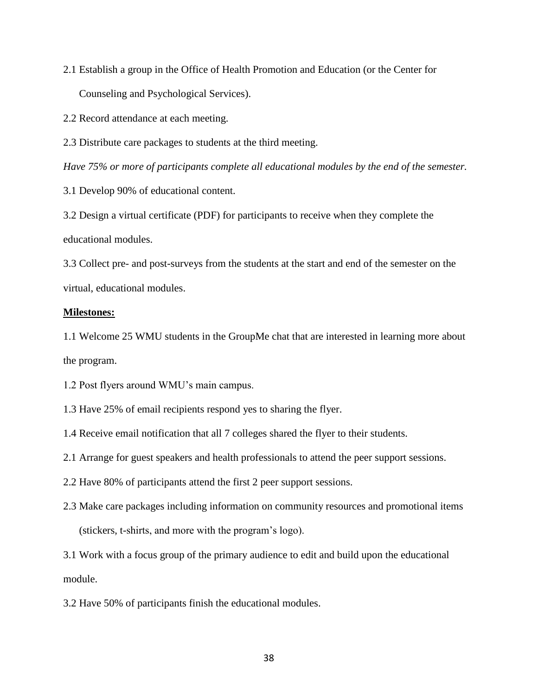2.1 Establish a group in the Office of Health Promotion and Education (or the Center for Counseling and Psychological Services).

2.2 Record attendance at each meeting.

2.3 Distribute care packages to students at the third meeting.

*Have 75% or more of participants complete all educational modules by the end of the semester.* 

3.1 Develop 90% of educational content.

3.2 Design a virtual certificate (PDF) for participants to receive when they complete the educational modules.

3.3 Collect pre- and post-surveys from the students at the start and end of the semester on the virtual, educational modules.

#### **Milestones:**

1.1 Welcome 25 WMU students in the GroupMe chat that are interested in learning more about the program.

1.2 Post flyers around WMU's main campus.

1.3 Have 25% of email recipients respond yes to sharing the flyer.

1.4 Receive email notification that all 7 colleges shared the flyer to their students.

2.1 Arrange for guest speakers and health professionals to attend the peer support sessions.

- 2.2 Have 80% of participants attend the first 2 peer support sessions.
- 2.3 Make care packages including information on community resources and promotional items (stickers, t-shirts, and more with the program's logo).

3.1 Work with a focus group of the primary audience to edit and build upon the educational module.

3.2 Have 50% of participants finish the educational modules.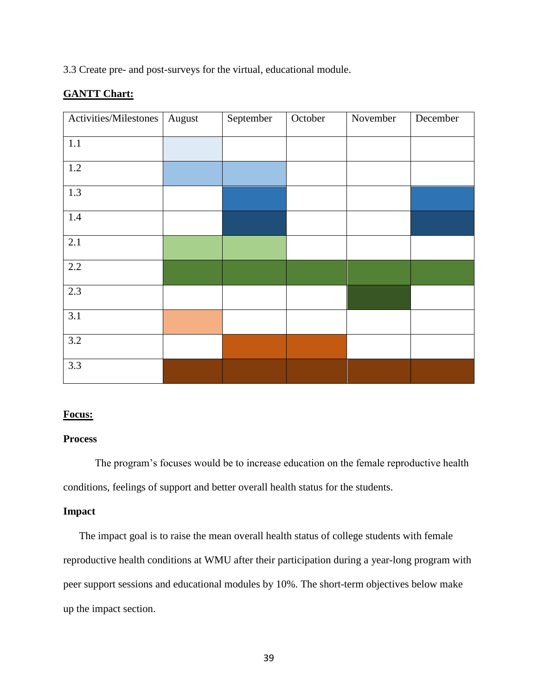3.3 Create pre- and post-surveys for the virtual, educational module.

### **GANTT Chart:**

| Activities/Milestones | August | September | October | November | December |
|-----------------------|--------|-----------|---------|----------|----------|
| $1.1\,$               |        |           |         |          |          |
| 1.2                   |        |           |         |          |          |
| 1.3                   |        |           |         |          |          |
| $1.4\,$               |        |           |         |          |          |
| 2.1                   |        |           |         |          |          |
| 2.2                   |        |           |         |          |          |
| 2.3                   |        |           |         |          |          |
| 3.1                   |        |           |         |          |          |
| 3.2                   |        |           |         |          |          |
| 3.3                   |        |           |         |          |          |

#### **Focus:**

#### **Process**

The program's focuses would be to increase education on the female reproductive health conditions, feelings of support and better overall health status for the students.

### **Impact**

The impact goal is to raise the mean overall health status of college students with female reproductive health conditions at WMU after their participation during a year-long program with peer support sessions and educational modules by 10%. The short-term objectives below make up the impact section.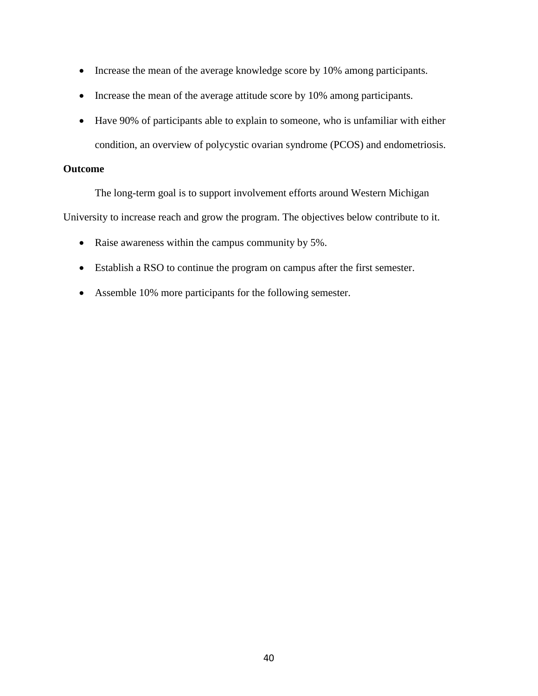- Increase the mean of the average knowledge score by 10% among participants.
- Increase the mean of the average attitude score by 10% among participants.
- Have 90% of participants able to explain to someone, who is unfamiliar with either condition, an overview of polycystic ovarian syndrome (PCOS) and endometriosis.

#### **Outcome**

The long-term goal is to support involvement efforts around Western Michigan

University to increase reach and grow the program. The objectives below contribute to it.

- Raise awareness within the campus community by 5%.
- Establish a RSO to continue the program on campus after the first semester.
- Assemble 10% more participants for the following semester.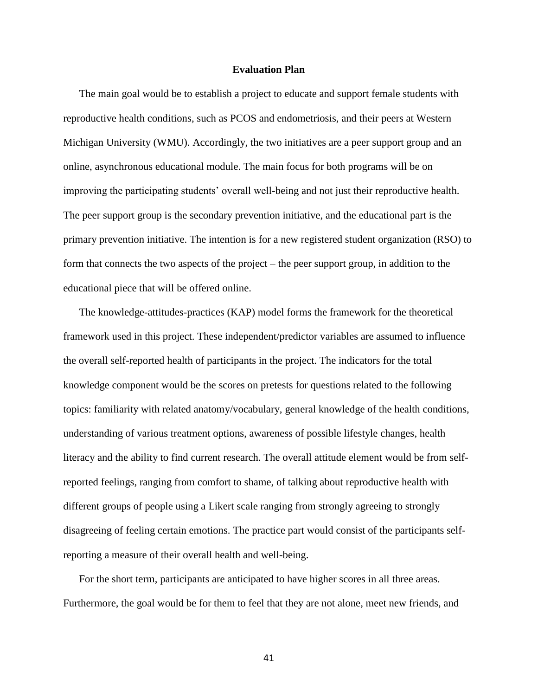#### **Evaluation Plan**

The main goal would be to establish a project to educate and support female students with reproductive health conditions, such as PCOS and endometriosis, and their peers at Western Michigan University (WMU). Accordingly, the two initiatives are a peer support group and an online, asynchronous educational module. The main focus for both programs will be on improving the participating students' overall well-being and not just their reproductive health. The peer support group is the secondary prevention initiative, and the educational part is the primary prevention initiative. The intention is for a new registered student organization (RSO) to form that connects the two aspects of the project – the peer support group, in addition to the educational piece that will be offered online.

The knowledge-attitudes-practices (KAP) model forms the framework for the theoretical framework used in this project. These independent/predictor variables are assumed to influence the overall self-reported health of participants in the project. The indicators for the total knowledge component would be the scores on pretests for questions related to the following topics: familiarity with related anatomy/vocabulary, general knowledge of the health conditions, understanding of various treatment options, awareness of possible lifestyle changes, health literacy and the ability to find current research. The overall attitude element would be from selfreported feelings, ranging from comfort to shame, of talking about reproductive health with different groups of people using a Likert scale ranging from strongly agreeing to strongly disagreeing of feeling certain emotions. The practice part would consist of the participants selfreporting a measure of their overall health and well-being.

For the short term, participants are anticipated to have higher scores in all three areas. Furthermore, the goal would be for them to feel that they are not alone, meet new friends, and

41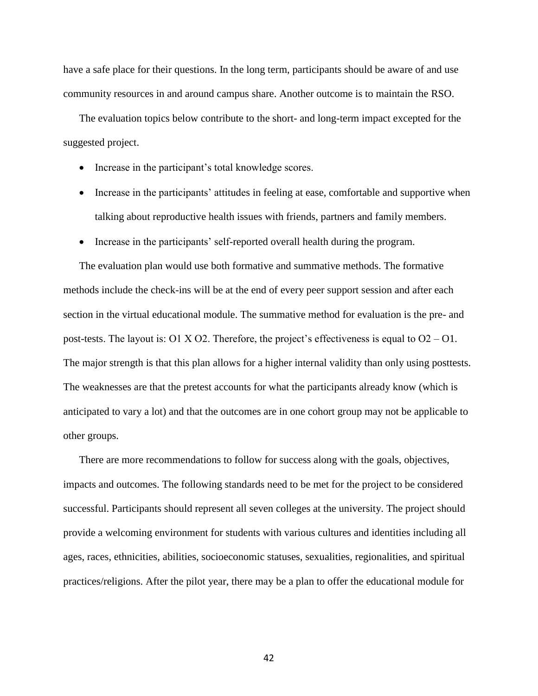have a safe place for their questions. In the long term, participants should be aware of and use community resources in and around campus share. Another outcome is to maintain the RSO.

The evaluation topics below contribute to the short- and long-term impact excepted for the suggested project.

- Increase in the participant's total knowledge scores.
- Increase in the participants' attitudes in feeling at ease, comfortable and supportive when talking about reproductive health issues with friends, partners and family members.
- Increase in the participants' self-reported overall health during the program.

The evaluation plan would use both formative and summative methods. The formative methods include the check-ins will be at the end of every peer support session and after each section in the virtual educational module. The summative method for evaluation is the pre- and post-tests. The layout is: O1 X O2. Therefore, the project's effectiveness is equal to O2 – O1. The major strength is that this plan allows for a higher internal validity than only using posttests. The weaknesses are that the pretest accounts for what the participants already know (which is anticipated to vary a lot) and that the outcomes are in one cohort group may not be applicable to other groups.

There are more recommendations to follow for success along with the goals, objectives, impacts and outcomes. The following standards need to be met for the project to be considered successful. Participants should represent all seven colleges at the university. The project should provide a welcoming environment for students with various cultures and identities including all ages, races, ethnicities, abilities, socioeconomic statuses, sexualities, regionalities, and spiritual practices/religions. After the pilot year, there may be a plan to offer the educational module for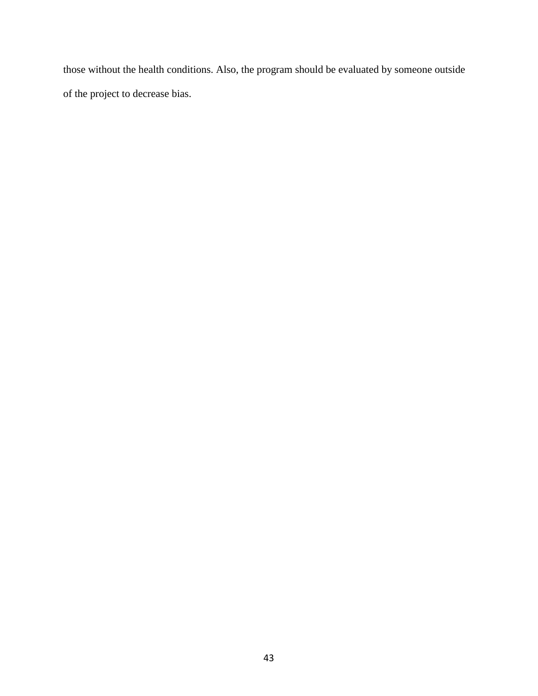those without the health conditions. Also, the program should be evaluated by someone outside of the project to decrease bias.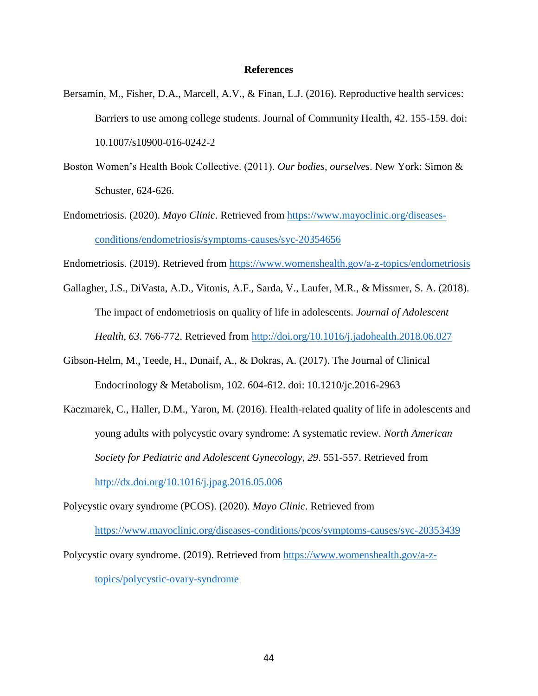#### **References**

- Bersamin, M., Fisher, D.A., Marcell, A.V., & Finan, L.J. (2016). Reproductive health services: Barriers to use among college students. Journal of Community Health, 42. 155-159. doi: 10.1007/s10900-016-0242-2
- Boston Women's Health Book Collective. (2011). *Our bodies, ourselves*. New York: Simon & Schuster, 624-626.
- Endometriosis. (2020). *Mayo Clinic*. Retrieved from [https://www.mayoclinic.org/diseases](https://www.mayoclinic.org/diseases-conditions/endometriosis/symptoms-causes/syc-20354656)[conditions/endometriosis/symptoms-causes/syc-20354656](https://www.mayoclinic.org/diseases-conditions/endometriosis/symptoms-causes/syc-20354656)
- Endometriosis. (2019). Retrieved from<https://www.womenshealth.gov/a-z-topics/endometriosis>
- Gallagher, J.S., DiVasta, A.D., Vitonis, A.F., Sarda, V., Laufer, M.R., & Missmer, S. A. (2018). The impact of endometriosis on quality of life in adolescents. *Journal of Adolescent Health, 63*. 766-772. Retrieved from<http://doi.org/10.1016/j.jadohealth.2018.06.027>
- Gibson-Helm, M., Teede, H., Dunaif, A., & Dokras, A. (2017). The Journal of Clinical Endocrinology & Metabolism, 102. 604-612. doi: 10.1210/jc.2016-2963
- Kaczmarek, C., Haller, D.M., Yaron, M. (2016). Health-related quality of life in adolescents and young adults with polycystic ovary syndrome: A systematic review. *North American Society for Pediatric and Adolescent Gynecology, 29*. 551-557. Retrieved from <http://dx.doi.org/10.1016/j.jpag.2016.05.006>

Polycystic ovary syndrome (PCOS). (2020). *Mayo Clinic*. Retrieved from <https://www.mayoclinic.org/diseases-conditions/pcos/symptoms-causes/syc-20353439>

Polycystic ovary syndrome. (2019). Retrieved from [https://www.womenshealth.gov/a-z-](https://www.womenshealth.gov/a-z-topics/polycystic-ovary-syndrome)

[topics/polycystic-ovary-syndrome](https://www.womenshealth.gov/a-z-topics/polycystic-ovary-syndrome)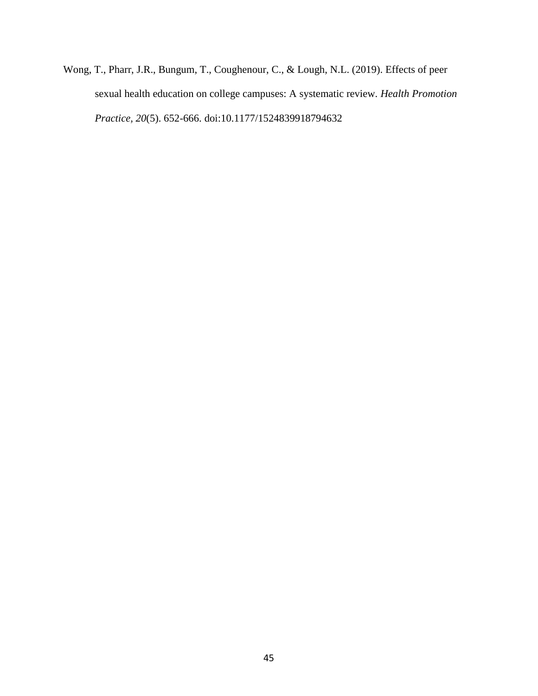Wong, T., Pharr, J.R., Bungum, T., Coughenour, C., & Lough, N.L. (2019). Effects of peer sexual health education on college campuses: A systematic review. *Health Promotion Practice, 20*(5). 652-666. doi:10.1177/1524839918794632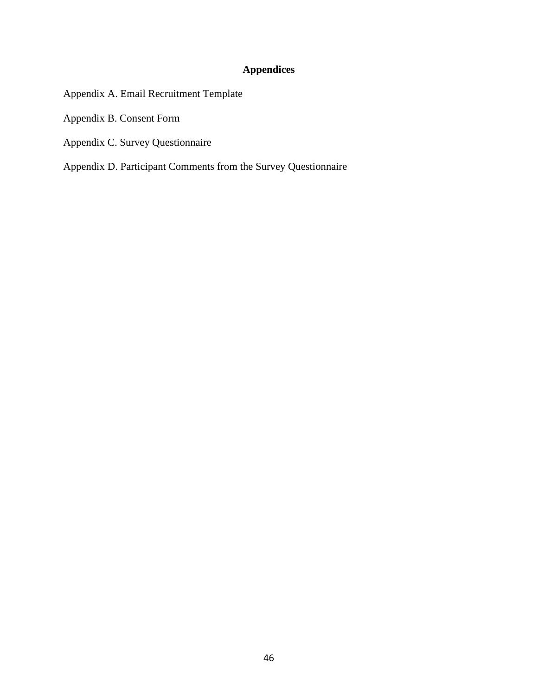# **Appendices**

- Appendix A. Email Recruitment Template
- Appendix B. Consent Form
- Appendix C. Survey Questionnaire
- Appendix D. Participant Comments from the Survey Questionnaire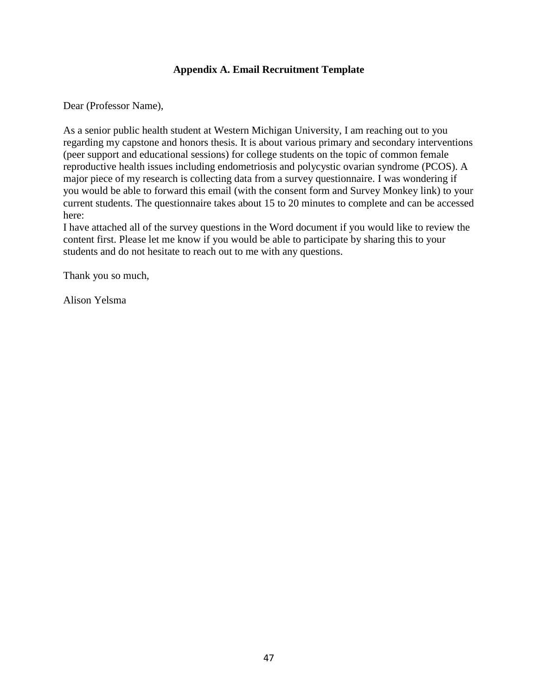### **Appendix A. Email Recruitment Template**

Dear (Professor Name),

As a senior public health student at Western Michigan University, I am reaching out to you regarding my capstone and honors thesis. It is about various primary and secondary interventions (peer support and educational sessions) for college students on the topic of common female reproductive health issues including endometriosis and polycystic ovarian syndrome (PCOS). A major piece of my research is collecting data from a survey questionnaire. I was wondering if you would be able to forward this email (with the consent form and Survey Monkey link) to your current students. The questionnaire takes about 15 to 20 minutes to complete and can be accessed here:

I have attached all of the survey questions in the Word document if you would like to review the content first. Please let me know if you would be able to participate by sharing this to your students and do not hesitate to reach out to me with any questions.

Thank you so much,

Alison Yelsma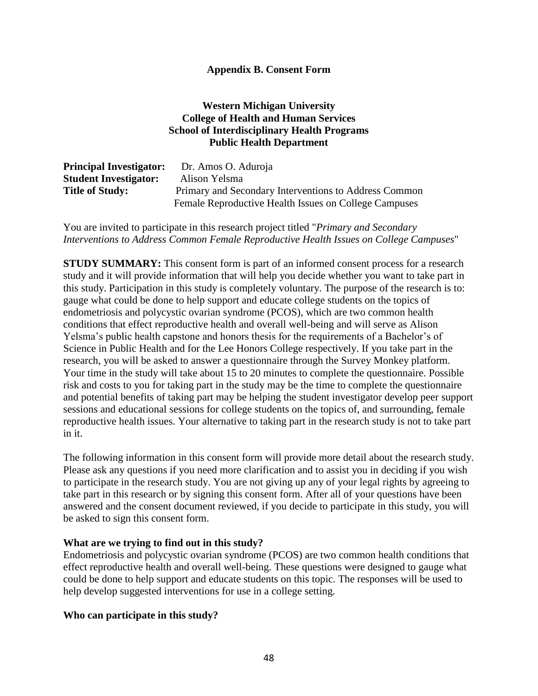### **Appendix B. Consent Form**

### **Western Michigan University College of Health and Human Services School of Interdisciplinary Health Programs Public Health Department**

| <b>Principal Investigator:</b> | Dr. Amos O. Aduroja                                   |
|--------------------------------|-------------------------------------------------------|
| <b>Student Investigator:</b>   | Alison Yelsma                                         |
| <b>Title of Study:</b>         | Primary and Secondary Interventions to Address Common |
|                                | Female Reproductive Health Issues on College Campuses |

You are invited to participate in this research project titled "*Primary and Secondary Interventions to Address Common Female Reproductive Health Issues on College Campuses*"

**STUDY SUMMARY:** This consent form is part of an informed consent process for a research study and it will provide information that will help you decide whether you want to take part in this study. Participation in this study is completely voluntary. The purpose of the research is to: gauge what could be done to help support and educate college students on the topics of endometriosis and polycystic ovarian syndrome (PCOS), which are two common health conditions that effect reproductive health and overall well-being and will serve as Alison Yelsma's public health capstone and honors thesis for the requirements of a Bachelor's of Science in Public Health and for the Lee Honors College respectively. If you take part in the research, you will be asked to answer a questionnaire through the Survey Monkey platform. Your time in the study will take about 15 to 20 minutes to complete the questionnaire. Possible risk and costs to you for taking part in the study may be the time to complete the questionnaire and potential benefits of taking part may be helping the student investigator develop peer support sessions and educational sessions for college students on the topics of, and surrounding, female reproductive health issues. Your alternative to taking part in the research study is not to take part in it.

The following information in this consent form will provide more detail about the research study. Please ask any questions if you need more clarification and to assist you in deciding if you wish to participate in the research study. You are not giving up any of your legal rights by agreeing to take part in this research or by signing this consent form. After all of your questions have been answered and the consent document reviewed, if you decide to participate in this study, you will be asked to sign this consent form.

#### **What are we trying to find out in this study?**

Endometriosis and polycystic ovarian syndrome (PCOS) are two common health conditions that effect reproductive health and overall well-being. These questions were designed to gauge what could be done to help support and educate students on this topic. The responses will be used to help develop suggested interventions for use in a college setting.

#### **Who can participate in this study?**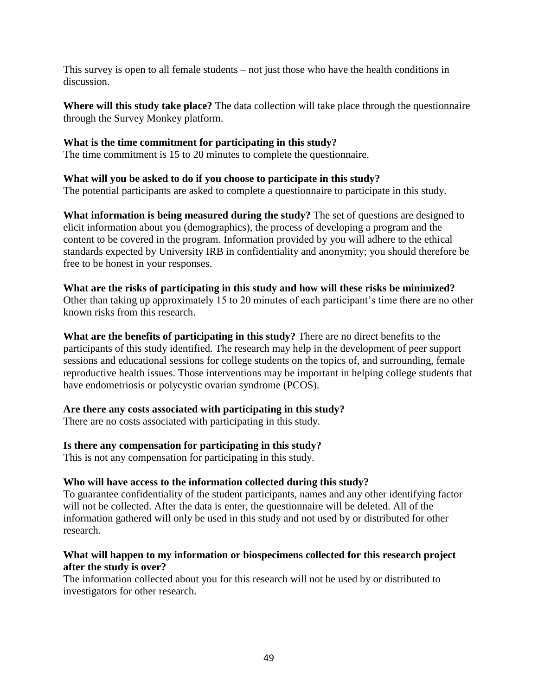This survey is open to all female students – not just those who have the health conditions in discussion.

**Where will this study take place?** The data collection will take place through the questionnaire through the Survey Monkey platform.

### **What is the time commitment for participating in this study?**

The time commitment is 15 to 20 minutes to complete the questionnaire.

### **What will you be asked to do if you choose to participate in this study?**

The potential participants are asked to complete a questionnaire to participate in this study.

**What information is being measured during the study?** The set of questions are designed to elicit information about you (demographics), the process of developing a program and the content to be covered in the program. Information provided by you will adhere to the ethical standards expected by University IRB in confidentiality and anonymity; you should therefore be free to be honest in your responses.

#### **What are the risks of participating in this study and how will these risks be minimized?**

Other than taking up approximately 15 to 20 minutes of each participant's time there are no other known risks from this research.

**What are the benefits of participating in this study?** There are no direct benefits to the participants of this study identified. The research may help in the development of peer support sessions and educational sessions for college students on the topics of, and surrounding, female reproductive health issues. Those interventions may be important in helping college students that have endometriosis or polycystic ovarian syndrome (PCOS).

### **Are there any costs associated with participating in this study?**

There are no costs associated with participating in this study.

### **Is there any compensation for participating in this study?**

This is not any compensation for participating in this study.

#### **Who will have access to the information collected during this study?**

To guarantee confidentiality of the student participants, names and any other identifying factor will not be collected. After the data is enter, the questionnaire will be deleted. All of the information gathered will only be used in this study and not used by or distributed for other research.

### **What will happen to my information or biospecimens collected for this research project after the study is over?**

The information collected about you for this research will not be used by or distributed to investigators for other research.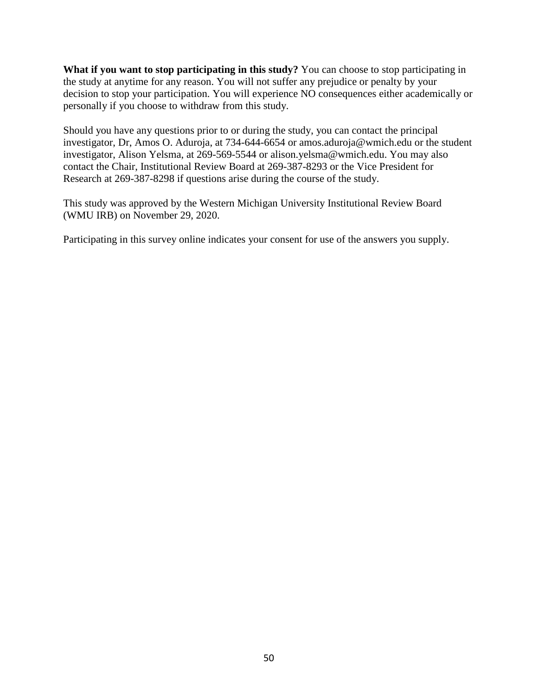**What if you want to stop participating in this study?** You can choose to stop participating in the study at anytime for any reason. You will not suffer any prejudice or penalty by your decision to stop your participation. You will experience NO consequences either academically or personally if you choose to withdraw from this study.

Should you have any questions prior to or during the study, you can contact the principal investigator, Dr, Amos O. Aduroja, at 734-644-6654 or amos.aduroja@wmich.edu or the student investigator, Alison Yelsma, at 269-569-5544 or alison.yelsma@wmich.edu. You may also contact the Chair, Institutional Review Board at 269-387-8293 or the Vice President for Research at 269-387-8298 if questions arise during the course of the study.

This study was approved by the Western Michigan University Institutional Review Board (WMU IRB) on November 29, 2020.

Participating in this survey online indicates your consent for use of the answers you supply.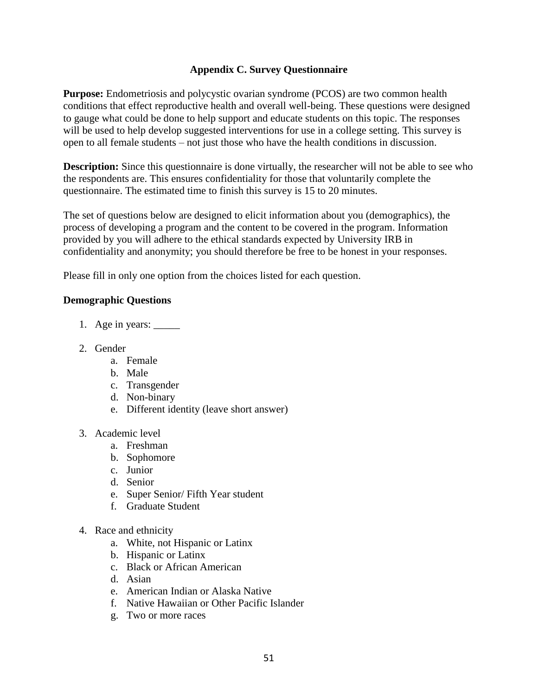### **Appendix C. Survey Questionnaire**

**Purpose:** Endometriosis and polycystic ovarian syndrome (PCOS) are two common health conditions that effect reproductive health and overall well-being. These questions were designed to gauge what could be done to help support and educate students on this topic. The responses will be used to help develop suggested interventions for use in a college setting. This survey is open to all female students – not just those who have the health conditions in discussion.

**Description:** Since this questionnaire is done virtually, the researcher will not be able to see who the respondents are. This ensures confidentiality for those that voluntarily complete the questionnaire. The estimated time to finish this survey is 15 to 20 minutes.

The set of questions below are designed to elicit information about you (demographics), the process of developing a program and the content to be covered in the program. Information provided by you will adhere to the ethical standards expected by University IRB in confidentiality and anonymity; you should therefore be free to be honest in your responses.

Please fill in only one option from the choices listed for each question.

### **Demographic Questions**

- 1. Age in years:
- 2. Gender
	- a. Female
	- b. Male
	- c. Transgender
	- d. Non-binary
	- e. Different identity (leave short answer)
- 3. Academic level
	- a. Freshman
	- b. Sophomore
	- c. Junior
	- d. Senior
	- e. Super Senior/ Fifth Year student
	- f. Graduate Student
- 4. Race and ethnicity
	- a. White, not Hispanic or Latinx
	- b. Hispanic or Latinx
	- c. Black or African American
	- d. Asian
	- e. American Indian or Alaska Native
	- f. Native Hawaiian or Other Pacific Islander
	- g. Two or more races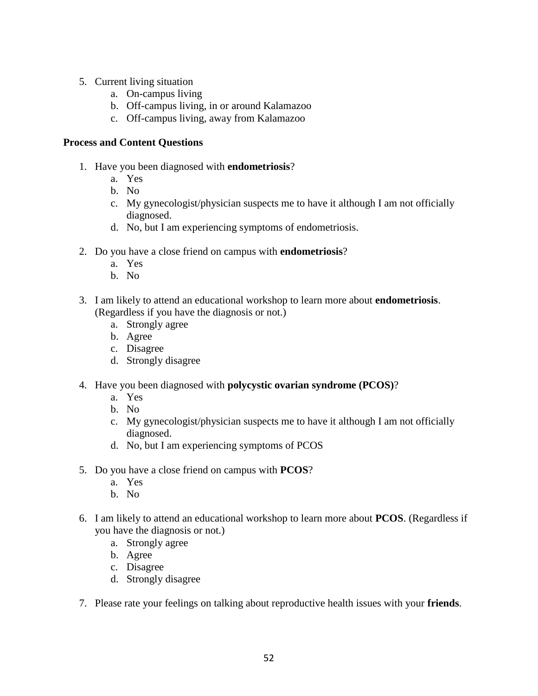- 5. Current living situation
	- a. On-campus living
	- b. Off-campus living, in or around Kalamazoo
	- c. Off-campus living, away from Kalamazoo

#### **Process and Content Questions**

- 1. Have you been diagnosed with **endometriosis**?
	- a. Yes
	- b. No
	- c. My gynecologist/physician suspects me to have it although I am not officially diagnosed.
	- d. No, but I am experiencing symptoms of endometriosis.
- 2. Do you have a close friend on campus with **endometriosis**?
	- a. Yes
	- b. No
- 3. I am likely to attend an educational workshop to learn more about **endometriosis**. (Regardless if you have the diagnosis or not.)
	- a. Strongly agree
	- b. Agree
	- c. Disagree
	- d. Strongly disagree
- 4. Have you been diagnosed with **polycystic ovarian syndrome (PCOS)**?
	- a. Yes
	- b. No
	- c. My gynecologist/physician suspects me to have it although I am not officially diagnosed.
	- d. No, but I am experiencing symptoms of PCOS
- 5. Do you have a close friend on campus with **PCOS**?
	- a. Yes
	- b. No
- 6. I am likely to attend an educational workshop to learn more about **PCOS**. (Regardless if you have the diagnosis or not.)
	- a. Strongly agree
	- b. Agree
	- c. Disagree
	- d. Strongly disagree
- 7. Please rate your feelings on talking about reproductive health issues with your **friends**.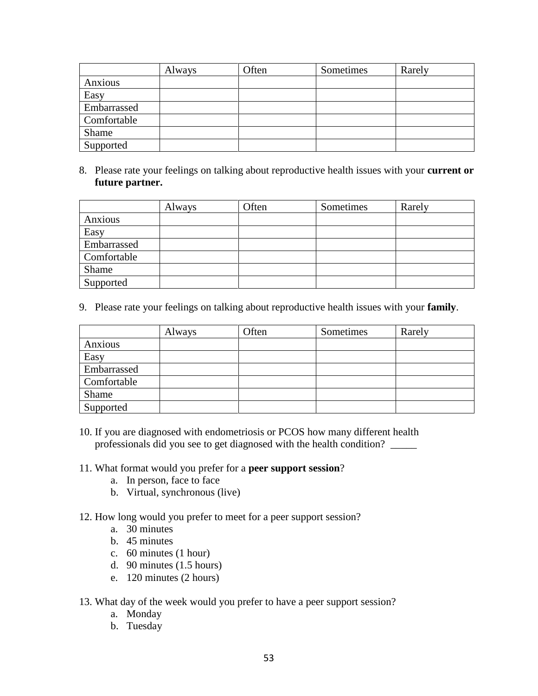|             | Always | Often | Sometimes | Rarely |
|-------------|--------|-------|-----------|--------|
| Anxious     |        |       |           |        |
| Easy        |        |       |           |        |
| Embarrassed |        |       |           |        |
| Comfortable |        |       |           |        |
| Shame       |        |       |           |        |
| Supported   |        |       |           |        |

8. Please rate your feelings on talking about reproductive health issues with your **current or future partner.**

|             | Always | Often | Sometimes | Rarely |
|-------------|--------|-------|-----------|--------|
| Anxious     |        |       |           |        |
| Easy        |        |       |           |        |
| Embarrassed |        |       |           |        |
| Comfortable |        |       |           |        |
| Shame       |        |       |           |        |
| Supported   |        |       |           |        |

9. Please rate your feelings on talking about reproductive health issues with your **family**.

|             | Always | Often | Sometimes | Rarely |
|-------------|--------|-------|-----------|--------|
| Anxious     |        |       |           |        |
| Easy        |        |       |           |        |
| Embarrassed |        |       |           |        |
| Comfortable |        |       |           |        |
| Shame       |        |       |           |        |
| Supported   |        |       |           |        |

- 10. If you are diagnosed with endometriosis or PCOS how many different health professionals did you see to get diagnosed with the health condition? \_\_\_\_\_\_\_\_\_\_
- 11. What format would you prefer for a **peer support session**?
	- a. In person, face to face
	- b. Virtual, synchronous (live)
- 12. How long would you prefer to meet for a peer support session?
	- a. 30 minutes
	- b. 45 minutes
	- c. 60 minutes (1 hour)
	- d. 90 minutes (1.5 hours)
	- e. 120 minutes (2 hours)
- 13. What day of the week would you prefer to have a peer support session?
	- a. Monday
	- b. Tuesday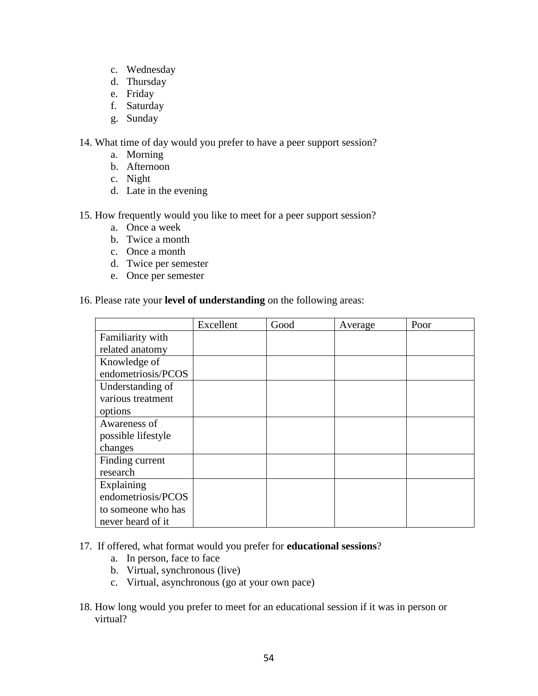- c. Wednesday
- d. Thursday
- e. Friday
- f. Saturday
- g. Sunday

14. What time of day would you prefer to have a peer support session?

- a. Morning
- b. Afternoon
- c. Night
- d. Late in the evening

15. How frequently would you like to meet for a peer support session?

- a. Once a week
- b. Twice a month
- c. Once a month
- d. Twice per semester
- e. Once per semester

#### 16. Please rate your **level of understanding** on the following areas:

|                    | Excellent | Good | Average | Poor |
|--------------------|-----------|------|---------|------|
| Familiarity with   |           |      |         |      |
| related anatomy    |           |      |         |      |
| Knowledge of       |           |      |         |      |
| endometriosis/PCOS |           |      |         |      |
| Understanding of   |           |      |         |      |
| various treatment  |           |      |         |      |
| options            |           |      |         |      |
| Awareness of       |           |      |         |      |
| possible lifestyle |           |      |         |      |
| changes            |           |      |         |      |
| Finding current    |           |      |         |      |
| research           |           |      |         |      |
| Explaining         |           |      |         |      |
| endometriosis/PCOS |           |      |         |      |
| to someone who has |           |      |         |      |
| never heard of it  |           |      |         |      |

17. If offered, what format would you prefer for **educational sessions**?

- a. In person, face to face
- b. Virtual, synchronous (live)
- c. Virtual, asynchronous (go at your own pace)
- 18. How long would you prefer to meet for an educational session if it was in person or virtual?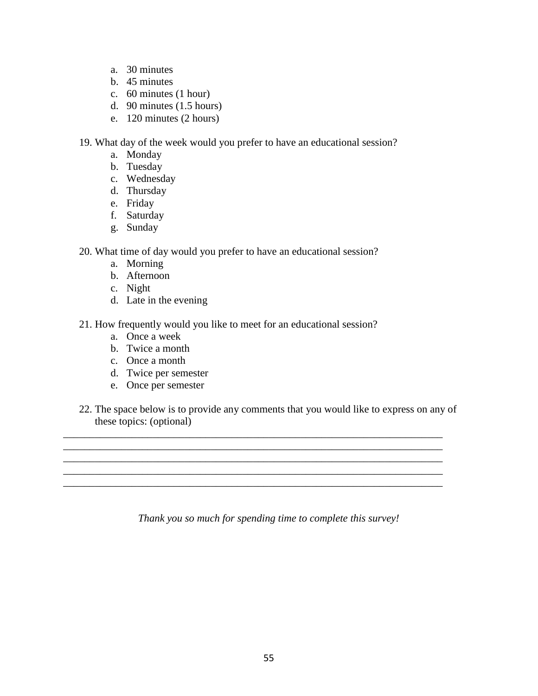- a. 30 minutes
- b. 45 minutes
- c. 60 minutes (1 hour)
- d. 90 minutes (1.5 hours)
- e. 120 minutes (2 hours)

19. What day of the week would you prefer to have an educational session?

- a. Monday
- b. Tuesday
- c. Wednesday
- d. Thursday
- e. Friday
- f. Saturday
- g. Sunday
- 20. What time of day would you prefer to have an educational session?
	- a. Morning
	- b. Afternoon
	- c. Night
	- d. Late in the evening
- 21. How frequently would you like to meet for an educational session?
	- a. Once a week
	- b. Twice a month
	- c. Once a month
	- d. Twice per semester
	- e. Once per semester
- 22. The space below is to provide any comments that you would like to express on any of these topics: (optional)

\_\_\_\_\_\_\_\_\_\_\_\_\_\_\_\_\_\_\_\_\_\_\_\_\_\_\_\_\_\_\_\_\_\_\_\_\_\_\_\_\_\_\_\_\_\_\_\_\_\_\_\_\_\_\_\_\_\_\_\_\_\_\_\_\_\_\_\_\_\_\_\_

\_\_\_\_\_\_\_\_\_\_\_\_\_\_\_\_\_\_\_\_\_\_\_\_\_\_\_\_\_\_\_\_\_\_\_\_\_\_\_\_\_\_\_\_\_\_\_\_\_\_\_\_\_\_\_\_\_\_\_\_\_\_\_\_\_\_\_\_\_\_\_\_ \_\_\_\_\_\_\_\_\_\_\_\_\_\_\_\_\_\_\_\_\_\_\_\_\_\_\_\_\_\_\_\_\_\_\_\_\_\_\_\_\_\_\_\_\_\_\_\_\_\_\_\_\_\_\_\_\_\_\_\_\_\_\_\_\_\_\_\_\_\_\_\_

\_\_\_\_\_\_\_\_\_\_\_\_\_\_\_\_\_\_\_\_\_\_\_\_\_\_\_\_\_\_\_\_\_\_\_\_\_\_\_\_\_\_\_\_\_\_\_\_\_\_\_\_\_\_\_\_\_\_\_\_\_\_\_\_\_\_\_\_\_\_\_\_

*Thank you so much for spending time to complete this survey!*